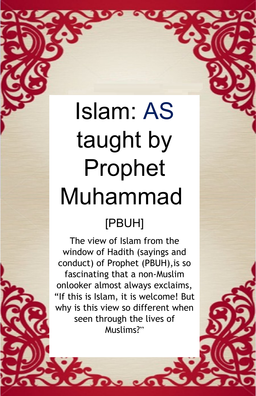# Islam: AS taught by Prophet Muhammad

## [PBUH]

The view of Islam from the window of Hadith (sayings and conduct) of Prophet (PBUH),is so fascinating that a non-Muslim onlooker almost always exclaims, "If this is Islam, it is welcome! But why is this view so different when seen through the lives of Muslims?"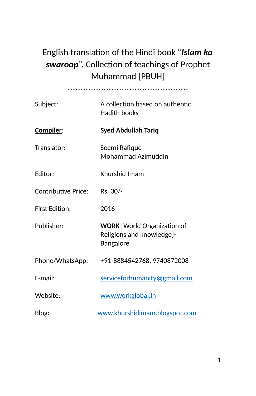### English translation of the Hindi book "*Islam ka swaroop*". Collection of teachings of Prophet Muhammad [PBUH]

| Subject:            | A collection based on authentic<br><b>Hadith books</b>                       |
|---------------------|------------------------------------------------------------------------------|
| <u>Compiler:</u>    | Syed Abdullah Tariq                                                          |
| Translator:         | Seemi Rafique<br>Mohammad Azimuddin                                          |
| Editor:             | Khurshid Imam                                                                |
| Contributive Price: | Rs. 30/-                                                                     |
| First Edition:      | 2016                                                                         |
| Publisher:          | <b>WORK</b> [World Organization of<br>Religions and knowledge]-<br>Bangalore |
| Phone/WhatsApp:     | +91-8884542768, 9740872008                                                   |
| F-mail:             | serviceforhumanity@gmail.com                                                 |
| Website:            | www.workglobal.in                                                            |
| Blog:               | www.khurshidimam.blogspot.com                                                |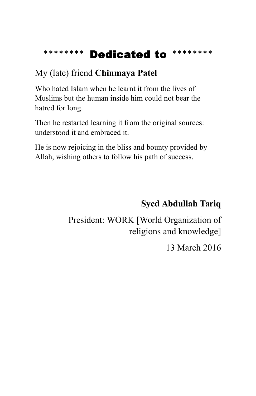### **\*\*\*\*\*\*\*\*** Dedicated to **\*\*\*\*\*\*\*\***

### My (late) friend **Chinmaya Patel**

Who hated Islam when he learnt it from the lives of Muslims but the human inside him could not bear the hatred for long.

Then he restarted learning it from the original sources: understood it and embraced it.

He is now rejoicing in the bliss and bounty provided by Allah, wishing others to follow his path of success.

### **Syed Abdullah Tariq**

President: WORK [World Organization of religions and knowledge]

13 March 2016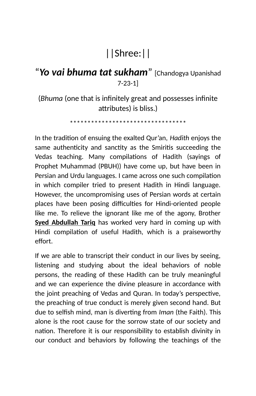### ||Shree:||

### "*Yo vai bhuma tat sukham*" [Chandogya Upanishad 7-23-1]

(*Bhuma* (one that is infinitely great and possesses infinite attributes) is bliss.)

\*\*\*\*\*\*\*\*\*\*\*\*\*\*\*\*\*\*\*\*\*\*\*\*\*\*\*\*\*\*\*\*\*

In the tradition of ensuing the exalted Qur'an, *Hadith* enjoys the same authenticity and sanctity as the Smiritis succeeding the Vedas teaching. Many compilations of Hadith (sayings of Prophet Muhammad (PBUH)) have come up, but have been in Persian and Urdu languages. I came across one such compilation in which compiler tried to present Hadith in Hindi language. However, the uncompromising uses of Persian words at certain places have been posing difficulties for Hindi-oriented people like me. To relieve the ignorant like me of the agony, Brother **Syed Abdullah Tariq** has worked very hard in coming up with Hindi compilation of useful Hadith, which is a praiseworthy effort.

If we are able to transcript their conduct in our lives by seeing, listening and studying about the ideal behaviors of noble persons, the reading of these Hadith can be truly meaningful and we can experience the divine pleasure in accordance with the joint preaching of Vedas and Quran. In today's perspective, the preaching of true conduct is merely given second hand. But due to selfish mind, man is diverting from *Iman* (the Faith). This alone is the root cause for the sorrow state of our society and nation. Therefore it is our responsibility to establish divinity in our conduct and behaviors by following the teachings of the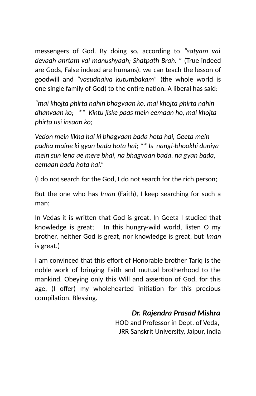messengers of God. By doing so, according to *"satyam vai devaah anrtam vai manushyaah; Shatpath Brah. "* (True indeed are Gods, False indeed are humans), we can teach the lesson of goodwill and *"vasudhaiva kutumbakam"* (the whole world is one single family of God) to the entire nation. A liberal has said:

*"mai khojta phirta nahin bhagvaan ko, mai khojta phirta nahin dhanvaan ko; \*\* Kintu jiske paas mein eemaan ho, mai khojta phirta usi insaan ko;*

*Vedon mein likha hai ki bhagvaan bada hota hai, Geeta mein padha maine ki gyan bada hota hai; \*\* Is nangi-bhookhi duniya mein sun lena ae mere bhai, na bhagvaan bada, na gyan bada, eemaan bada hota hai."*

(I do not search for the God, I do not search for the rich person;

But the one who has *Iman* (Faith), I keep searching for such a man;

In Vedas it is written that God is great, In Geeta I studied that knowledge is great; In this hungry-wild world, listen O my brother, neither God is great, nor knowledge is great, but *Iman* is great.)

I am convinced that this effort of Honorable brother Tariq is the noble work of bringing Faith and mutual brotherhood to the mankind. Obeying only this Will and assertion of God, for this age, (I offer) my wholehearted initiation for this precious compilation. Blessing.

### *Dr. Rajendra Prasad Mishra*

HOD and Professor in Dept. of Veda, JRR Sanskrit University, Jaipur, india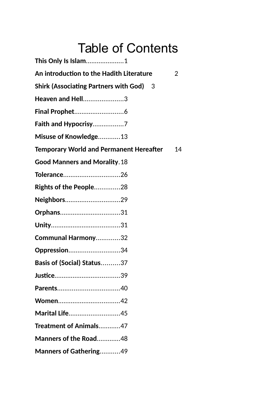## Table of Contents

| This Only Is Islam1                            |    |
|------------------------------------------------|----|
| An introduction to the Hadith Literature       | 2  |
| <b>Shirk (Associating Partners with God)</b> 3 |    |
| Heaven and Hell3                               |    |
|                                                |    |
|                                                |    |
| Misuse of Knowledge13                          |    |
| <b>Temporary World and Permanent Hereafter</b> | 14 |
| <b>Good Manners and Morality. 18</b>           |    |
| Tolerance26                                    |    |
| Rights of the People28                         |    |
| Neighbors29                                    |    |
| Orphans31                                      |    |
|                                                |    |
| Communal Harmony32                             |    |
| Oppression34                                   |    |
| Basis of (Social) Status37                     |    |
|                                                |    |
|                                                |    |
|                                                |    |
| Marital Life45                                 |    |
| Treatment of Animals47                         |    |
| Manners of the Road48                          |    |
| Manners of Gathering49                         |    |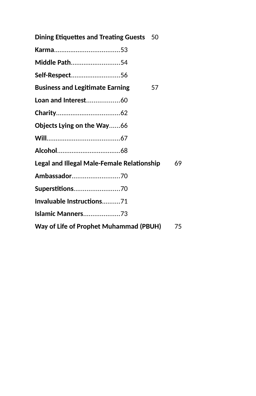| <b>Dining Etiquettes and Treating Guests</b> 50   |    |
|---------------------------------------------------|----|
|                                                   |    |
| Middle Path54                                     |    |
| Self-Respect56                                    |    |
| <b>Business and Legitimate Earning</b><br>57      |    |
| Loan and Interest60                               |    |
|                                                   |    |
| <b>Objects Lying on the Way66</b>                 |    |
|                                                   |    |
|                                                   |    |
| <b>Legal and Illegal Male-Female Relationship</b> | 69 |
| Ambassador70                                      |    |
| Superstitions70                                   |    |
| Invaluable Instructions71                         |    |
| <b>Islamic Manners73</b>                          |    |
| Way of Life of Prophet Muhammad (PBUH)            | 75 |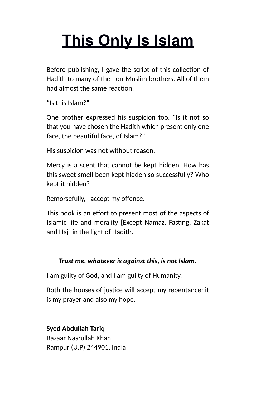# <span id="page-7-0"></span>**This Only Is Islam**

Before publishing, I gave the script of this collection of Hadith to many of the non-Muslim brothers. All of them had almost the same reaction:

"Is this Islam?"

One brother expressed his suspicion too. "Is it not so that you have chosen the Hadith which present only one face, the beautiful face, of Islam?"

His suspicion was not without reason.

Mercy is a scent that cannot be kept hidden. How has this sweet smell been kept hidden so successfully? Who kept it hidden?

Remorsefully, I accept my offence.

This book is an effort to present most of the aspects of Islamic life and morality [Except Namaz, Fasting, Zakat and Haj] in the light of Hadith.

### *Trust me, whatever is against this, is not Islam.*

I am guilty of God, and I am guilty of Humanity.

Both the houses of justice will accept my repentance; it is my prayer and also my hope.

**Syed Abdullah Tariq** Bazaar Nasrullah Khan Rampur (U.P) 244901, India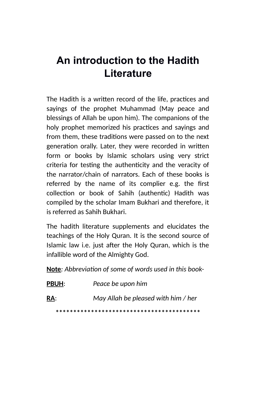### <span id="page-8-0"></span>**An introduction to the Hadith Literature**

The Hadith is a written record of the life, practices and sayings of the prophet Muhammad (May peace and blessings of Allah be upon him). The companions of the holy prophet memorized his practices and sayings and from them, these traditions were passed on to the next generation orally. Later, they were recorded in written form or books by Islamic scholars using very strict criteria for testing the authenticity and the veracity of the narrator/chain of narrators. Each of these books is referred by the name of its complier e.g. the first collection or book of Sahih (authentic) Hadith was compiled by the scholar Imam Bukhari and therefore, it is referred as Sahih Bukhari.

The hadith literature supplements and elucidates the teachings of the Holy Quran. It is the second source of Islamic law i.e. just after the Holy Quran, which is the infallible word of the Almighty God.

**Note***: Abbreviation of some of words used in this book-*

| <b>PBUH:</b> | Peace be upon him                   |
|--------------|-------------------------------------|
| <u>RA:</u>   | May Allah be pleased with him / her |
|              |                                     |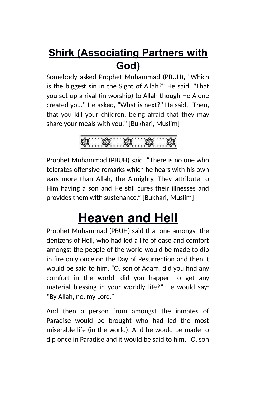### <span id="page-9-0"></span>**Shirk (Associating Partners with God)**

Somebody asked Prophet Muhammad (PBUH), "Which is the biggest sin in the Sight of Allah?" He said, "That you set up a rival (in worship) to Allah though He Alone created you." He asked, "What is next?" He said, "Then, that you kill your children, being afraid that they may share your meals with you." [Bukhari, Muslim]

Prophet Muhammad (PBUH) said, "There is no one who tolerates offensive remarks which he hears with his own ears more than Allah, the Almighty. They attribute to Him having a son and He still cures their illnesses and provides them with sustenance." [Bukhari, Muslim]

## <span id="page-9-1"></span>**Heaven and Hell**

Prophet Muhammad (PBUH) said that one amongst the denizens of Hell, who had led a life of ease and comfort amongst the people of the world would be made to dip in fire only once on the Day of Resurrection and then it would be said to him, "O, son of Adam, did you find any comfort in the world, did you happen to get any material blessing in your worldly life?" He would say: "By Allah, no, my Lord."

And then a person from amongst the inmates of Paradise would be brought who had led the most miserable life (in the world). And he would be made to dip once in Paradise and it would be said to him, "O, son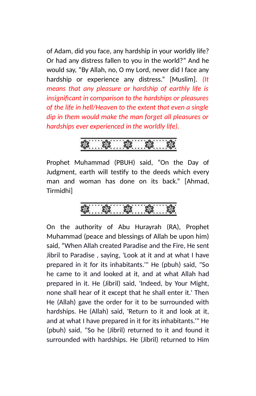of Adam, did you face, any hardship in your worldly life? Or had any distress fallen to you in the world?" And he would say, "By Allah, no, O my Lord, never did I face any hardship or experience any distress." [Muslim]. *(It means that any pleasure or hardship of earthly life is insignificant in comparison to the hardships or pleasures of the life in hell/Heaven to the extent that even a single dip in them would make the man forget all pleasures or hardships ever experienced in the worldly life).*

Prophet Muhammad (PBUH) said, "On the Day of Judgment, earth will testify to the deeds which every man and woman has done on its back." [Ahmad, Tirmidhi]

On the authority of Abu Hurayrah (RA), Prophet Muhammad (peace and blessings of Allah be upon him) said, "When Allah created Paradise and the Fire, He sent Jibril to Paradise , saying, 'Look at it and at what I have prepared in it for its inhabitants.'" He (pbuh) said, "So he came to it and looked at it, and at what Allah had prepared in it. He (Jibril) said, 'Indeed, by Your Might, none shall hear of it except that he shall enter it.' Then He (Allah) gave the order for it to be surrounded with hardships. He (Allah) said, 'Return to it and look at it, and at what I have prepared in it for its inhabitants.'" He (pbuh) said, "So he (Jibril) returned to it and found it surrounded with hardships. He (Jibril) returned to Him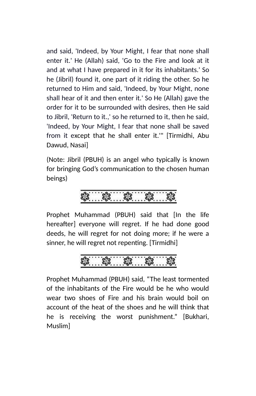and said, 'Indeed, by Your Might, I fear that none shall enter it.' He (Allah) said, 'Go to the Fire and look at it and at what I have prepared in it for its inhabitants.' So he (Jibril) found it, one part of it riding the other. So he returned to Him and said, 'Indeed, by Your Might, none shall hear of it and then enter it.' So He (Allah) gave the order for it to be surrounded with desires, then He said to Jibril, 'Return to it.,' so he returned to it, then he said, 'Indeed, by Your Might, I fear that none shall be saved from it except that he shall enter it.'" [Tirmidhi, Abu Dawud, Nasai]

(Note: Jibril (PBUH) is an angel who typically is known for bringing God's communication to the chosen human beings)

## \$. \$. \$. \$. \$.

Prophet Muhammad (PBUH) said that [In the life hereafter] everyone will regret. If he had done good deeds, he will regret for not doing more; if he were a sinner, he will regret not repenting. [Tirmidhi]

Prophet Muhammad (PBUH) said, "The least tormented of the inhabitants of the Fire would be he who would wear two shoes of Fire and his brain would boil on account of the heat of the shoes and he will think that he is receiving the worst punishment." [Bukhari, Muslim]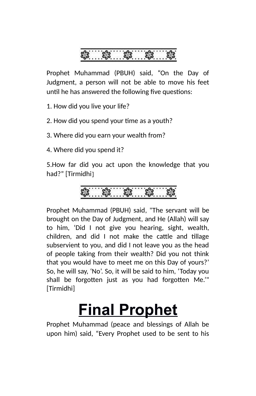

Prophet Muhammad (PBUH) said, "On the Day of Judgment, a person will not be able to move his feet until he has answered the following five questions:

1. How did you live your life?

2. How did you spend your time as a youth?

3. Where did you earn your wealth from?

4. Where did you spend it?

5.How far did you act upon the knowledge that you had?" [Tirmidhi]

$$
\textcolor{blue}{\textbf{\textcolor{blue}{\textbf{\textcolor{blue}{\textbf{\textcolor{blue}{\textbf{\textcolor{blue}{\textbf{\textcolor{blue}{\textbf{\textcolor{blue}{\textbf{\textcolor{blue}{\textbf{\textcolor{blue}{\textbf{\textcolor{blue}{\textbf{\textcolor{blue}{\textbf{\textcolor{blue}{\textbf{\textcolor{blue}{\textbf{\textcolor{blue}{\textbf{\textcolor{blue}{\textbf{\textcolor{blue}{\textbf{\textcolor{blue}{\textbf{\textcolor{blue}{\textbf{\textcolor{blue}{\textbf{\textcolor{blue}{\textbf{\textcolor{blue}{\textbf{\textcolor{blue}{\textbf{\textcolor{blue}{\textbf{\textcolor{blue}{\textbf{}}}}}}}}}}}}}}}}}\
$$

Prophet Muhammad (PBUH) said, "The servant will be brought on the Day of Judgment, and He (Allah) will say to him, 'Did I not give you hearing, sight, wealth, children, and did I not make the cattle and tillage subservient to you, and did I not leave you as the head of people taking from their wealth? Did you not think that you would have to meet me on this Day of yours?' So, he will say, 'No'. So, it will be said to him, 'Today you shall be forgotten just as you had forgotten Me.'" [Tirmidhi]

# <span id="page-12-0"></span>**Final Prophet**

Prophet Muhammad (peace and blessings of Allah be upon him) said, "Every Prophet used to be sent to his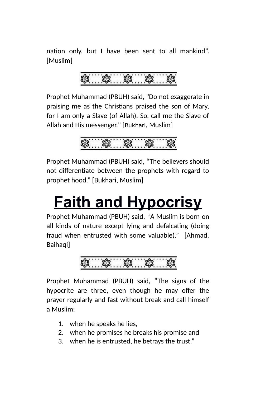nation only, but I have been sent to all mankind". [Muslim]



Prophet Muhammad (PBUH) said, "Do not exaggerate in praising me as the Christians praised the son of Mary, for I am only a Slave (of Allah). So, call me the Slave of Allah and His messenger." [Bukhari, Muslim]

Prophet Muhammad (PBUH) said, "The believers should not differentiate between the prophets with regard to prophet hood." [Bukhari, Muslim]

# <span id="page-13-0"></span>**Faith and Hypocrisy**

Prophet Muhammad (PBUH) said, "A Muslim is born on all kinds of nature except lying and defalcating (doing fraud when entrusted with some valuable)." [Ahmad, Baihaqil

## $-23 - 23$

Prophet Muhammad (PBUH) said, "The signs of the hypocrite are three, even though he may offer the prayer regularly and fast without break and call himself a Muslim:

- 1. when he speaks he lies,
- 2. when he promises he breaks his promise and
- 3. when he is entrusted, he betrays the trust."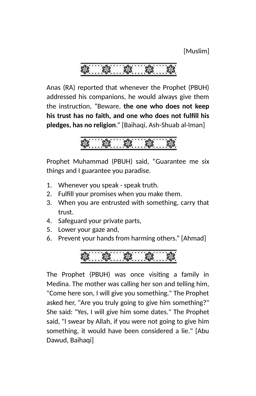[Muslim]

Anas (RA) reported that whenever the Prophet (PBUH) addressed his companions, he would always give them the instruction, "Beware, **the one who does not keep his trust has no faith, and one who does not fulfill his pledges, has no religion**." [Baihaqi, Ash-Shuab al-Iman]

Prophet Muhammad (PBUH) said, "Guarantee me six things and I guarantee you paradise.

- 1. Whenever you speak speak truth.
- 2. Fulfill your promises when you make them.
- 3. When you are entrusted with something, carry that trust.
- 4. Safeguard your private parts,
- 5. Lower your gaze and,
- 6. Prevent your hands from harming others." [Ahmad]



The Prophet (PBUH) was once visiting a family in Medina. The mother was calling her son and telling him, "Come here son, I will give you something." The Prophet asked her, "Are you truly going to give him something?" She said: "Yes, I will give him some dates." The Prophet said, "I swear by Allah, if you were not going to give him something, it would have been considered a lie." [Abu Dawud, Baihaqi]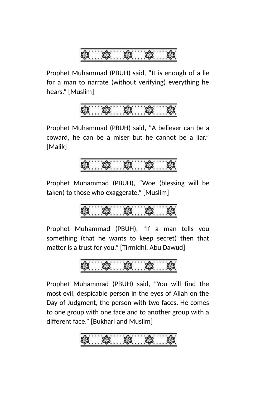Prophet Muhammad (PBUH) said, "It is enough of a lie for a man to narrate (without verifying) everything he hears." [Muslim]



Prophet Muhammad (PBUH) said, "A believer can be a coward, he can be a miser but he cannot be a liar." [Malik]



Prophet Muhammad (PBUH), "Woe (blessing will be taken) to those who exaggerate." [Muslim]

Prophet Muhammad (PBUH), "If a man tells you something (that he wants to keep secret) then that matter is a trust for you." [Tirmidhi, Abu Dawud]

$$
\frac{3}{2}
$$

Prophet Muhammad (PBUH) said, "You will find the most evil, despicable person in the eyes of Allah on the Day of Judgment, the person with two faces. He comes to one group with one face and to another group with a different face." [Bukhari and Muslim]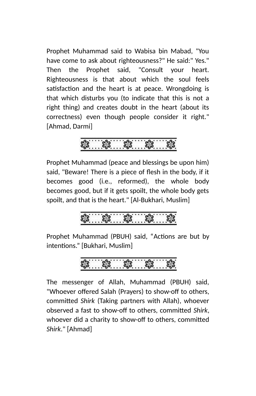Prophet Muhammad said to Wabisa bin Mabad, "You have come to ask about righteousness?" He said:" Yes." Then the Prophet said, "Consult your heart. Righteousness is that about which the soul feels satisfaction and the heart is at peace. Wrongdoing is that which disturbs you (to indicate that this is not a right thing) and creates doubt in the heart (about its correctness) even though people consider it right." [Ahmad, Darmi]



Prophet Muhammad (peace and blessings be upon him) said, "Beware! There is a piece of flesh in the body, if it becomes good (i.e., reformed), the whole body becomes good, but if it gets spoilt, the whole body gets spoilt, and that is the heart." [Al-Bukhari, Muslim]

Prophet Muhammad (PBUH) said, "Actions are but by intentions." [Bukhari, Muslim]

$$
S_3 \t S_2 \t S_3 \t S_4 \t S_5 \t S_6
$$

The messenger of Allah, Muhammad (PBUH) said, "Whoever offered Salah (Prayers) to show-off to others, committed *Shirk* (Taking partners with Allah), whoever observed a fast to show-off to others, committed *Shirk*, whoever did a charity to show-off to others, committed *Shirk*." [Ahmad]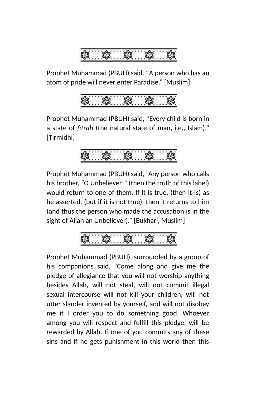

Prophet Muhammad (PBUH) said. "A person who has an atom of pride will never enter Paradise." [Muslim]

Prophet Muhammad (PBUH) said, "Every child is born in a state of *fitrah* (the natural state of man, i.e., Islam)." [Tirmidhi]

Prophet Muhammad (PBUH) said, "Any person who calls his brother, "O Unbeliever!" (then the truth of this label) would return to one of them. If it is true, (then it is) as he asserted, (but if it is not true), then it returns to him (and thus the person who made the accusation is in the sight of Allah an Unbeliever)." [Bukhari, Muslim]

Prophet Muhammad (PBUH), surrounded by a group of his companions said, "Come along and give me the pledge of allegiance that you will not worship anything besides Allah, will not steal, will not commit illegal sexual intercourse will not kill your children, will not utter slander invented by yourself, and will not disobey me if I order you to do something good. Whoever among you will respect and fulfill this pledge, will be rewarded by Allah. If one of you commits any of these sins and if he gets punishment in this world then this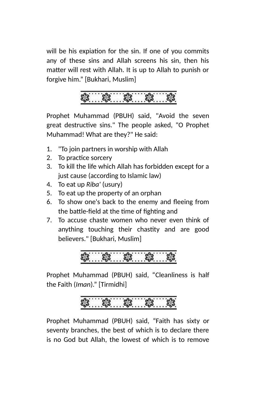will be his expiation for the sin. If one of you commits any of these sins and Allah screens his sin, then his matter will rest with Allah. It is up to Allah to punish or forgive him." [Bukhari, Muslim]



Prophet Muhammad (PBUH) said, "Avoid the seven great destructive sins." The people asked, "O Prophet Muhammad! What are they?" He said:

- 1. "To join partners in worship with Allah
- 2. To practice sorcery
- 3. To kill the life which Allah has forbidden except for a just cause (according to Islamic law)
- 4. To eat up *Riba'* (usury)
- 5. To eat up the property of an orphan
- 6. To show one's back to the enemy and fleeing from the battle-field at the time of fighting and
- 7. To accuse chaste women who never even think of anything touching their chastity and are good believers." [Bukhari, Muslim]

Prophet Muhammad (PBUH) said, "Cleanliness is half the Faith (*Iman*)." [Tirmidhi]



Prophet Muhammad (PBUH) said, "Faith has sixty or seventy branches, the best of which is to declare there is no God but Allah, the lowest of which is to remove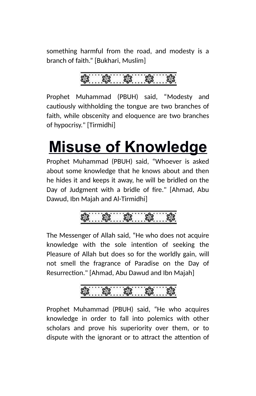something harmful from the road, and modesty is a branch of faith." [Bukhari, Muslim]

Prophet Muhammad (PBUH) said, "Modesty and cautiously withholding the tongue are two branches of faith, while obscenity and eloquence are two branches of hypocrisy." [Tirmidhi]

# <span id="page-19-0"></span>**Misuse of Knowledge**

Prophet Muhammad (PBUH) said, "Whoever is asked about some knowledge that he knows about and then he hides it and keeps it away, he will be bridled on the Day of Judgment with a bridle of fire." [Ahmad, Abu Dawud, Ibn Majah and Al-Tirmidhi]

\$. \$. \$

The Messenger of Allah said, "He who does not acquire knowledge with the sole intention of seeking the Pleasure of Allah but does so for the worldly gain, will not smell the fragrance of Paradise on the Day of Resurrection." [Ahmad, Abu Dawud and Ibn Majah]



Prophet Muhammad (PBUH) said, "He who acquires knowledge in order to fall into polemics with other scholars and prove his superiority over them, or to dispute with the ignorant or to attract the attention of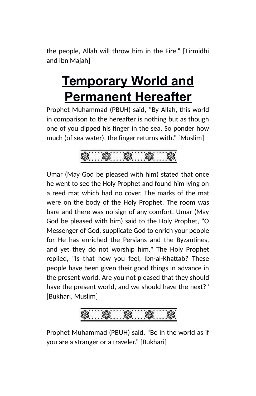the people, Allah will throw him in the Fire." [Tirmidhi and Ibn Majah]

## <span id="page-20-0"></span>**Temporary World and Permanent Hereafter**

Prophet Muhammad (PBUH) said, "By Allah, this world in comparison to the hereafter is nothing but as though one of you dipped his finger in the sea. So ponder how much (of sea water), the finger returns with." [Muslim]

\* \* \*

Umar (May God be pleased with him) stated that once he went to see the Holy Prophet and found him lying on a reed mat which had no cover. The marks of the mat were on the body of the Holy Prophet. The room was bare and there was no sign of any comfort. Umar (May God be pleased with him) said to the Holy Prophet, "O Messenger of God, supplicate God to enrich your people for He has enriched the Persians and the Byzantines, and yet they do not worship him." The Holy Prophet replied, "Is that how you feel, Ibn-al-Khattab? These people have been given their good things in advance in the present world. Are you not pleased that they should have the present world, and we should have the next?" [Bukhari, Muslim]

Prophet Muhammad (PBUH) said, "Be in the world as if you are a stranger or a traveler." [Bukhari]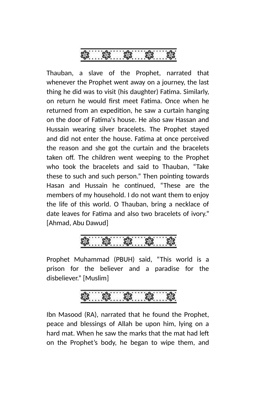

Thauban, a slave of the Prophet, narrated that whenever the Prophet went away on a journey, the last thing he did was to visit (his daughter) Fatima. Similarly, on return he would first meet Fatima. Once when he returned from an expedition, he saw a curtain hanging on the door of Fatima's house. He also saw Hassan and Hussain wearing silver bracelets. The Prophet stayed and did not enter the house. Fatima at once perceived the reason and she got the curtain and the bracelets taken off. The children went weeping to the Prophet who took the bracelets and said to Thauban, "Take these to such and such person." Then pointing towards Hasan and Hussain he continued, "These are the members of my household. I do not want them to enjoy the life of this world. O Thauban, bring a necklace of date leaves for Fatima and also two bracelets of ivory." [Ahmad, Abu Dawud]

Prophet Muhammad (PBUH) said, "This world is a prison for the believer and a paradise for the disbeliever." [Muslim]

Ibn Masood (RA), narrated that he found the Prophet, peace and blessings of Allah be upon him, lying on a hard mat. When he saw the marks that the mat had left on the Prophet's body, he began to wipe them, and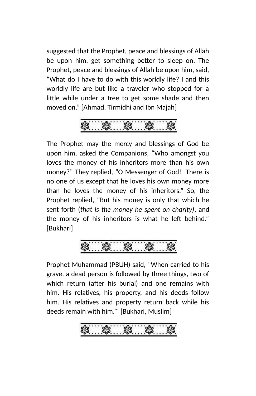suggested that the Prophet, peace and blessings of Allah be upon him, get something better to sleep on. The Prophet, peace and blessings of Allah be upon him, said, "What do I have to do with this worldly life? I and this worldly life are but like a traveler who stopped for a little while under a tree to get some shade and then moved on." [Ahmad, Tirmidhi and Ibn Majah]



The Prophet may the mercy and blessings of God be upon him, asked the Companions, "Who amongst you loves the money of his inheritors more than his own money?" They replied, "O Messenger of God! There is no one of us except that he loves his own money more than he loves the money of his inheritors." So, the Prophet replied, "But his money is only that which he sent forth (*that is the money he spent on charity)*, and the money of his inheritors is what he left behind." [Bukhari]

Prophet Muhammad (PBUH) said, "When carried to his grave, a dead person is followed by three things, two of which return (after his burial) and one remains with him. His relatives, his property, and his deeds follow him. His relatives and property return back while his deeds remain with him."' [Bukhari, Muslim]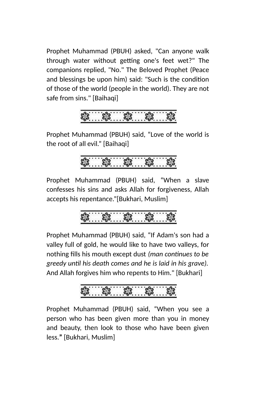Prophet Muhammad (PBUH) asked, "Can anyone walk through water without getting one's feet wet?" The companions replied, "No." The Beloved Prophet (Peace and blessings be upon him) said: "Such is the condition of those of the world (people in the world). They are not safe from sins." [Baihaqi]



Prophet Muhammad (PBUH) said, "Love of the world is the root of all evil." [Baihaqi]

Prophet Muhammad (PBUH) said, "When a slave confesses his sins and asks Allah for forgiveness, Allah accepts his repentance."[Bukhari, Muslim]

$$
3.133...33...33...33
$$

Prophet Muhammad (PBUH) said, "If Adam's son had a valley full of gold, he would like to have two valleys, for nothing fills his mouth except dust *(man continues to be greedy until his death comes and he is laid in his grave).* And Allah forgives him who repents to Him." [Bukhari]



Prophet Muhammad (PBUH) said, "When you see a person who has been given more than you in money and beauty, then look to those who have been given less.**"** [Bukhari, Muslim]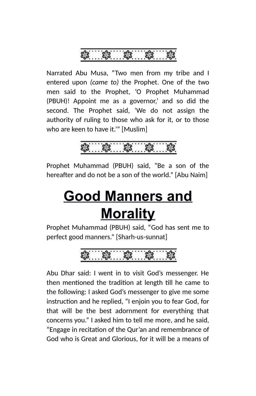

Narrated Abu Musa, "Two men from my tribe and I entered upon *(came to)* the Prophet. One of the two men said to the Prophet, 'O Prophet Muhammad (PBUH)! Appoint me as a governor,' and so did the second. The Prophet said, 'We do not assign the authority of ruling to those who ask for it, or to those who are keen to have it.'" [Muslim]

Prophet Muhammad (PBUH) said, "Be a son of the hereafter and do not be a son of the world." [Abu Naim]

## <span id="page-24-0"></span>**Good Manners and Morality**

Prophet Muhammad (PBUH) said, "God has sent me to perfect good manners." [Sharh-us-sunnat]

$$
\textcolor{red}{\textbf{3.63}}\textcolor{white}{\textbf{3.65}}\textcolor{white}{\textbf{3.66}}\textcolor{white}{\textbf{3.66}}\textcolor{white}{\textbf{3.66}}\textcolor{white}{\textbf{3.66}}\textcolor{white}{\textbf{3.66}}\textcolor{white}{\textbf{3.66}}\textcolor{white}{\textbf{3.66}}\textcolor{white}{\textbf{3.66}}\textcolor{white}{\textbf{3.66}}\textcolor{white}{\textbf{3.66}}\textcolor{white}{\textbf{3.66}}\textcolor{white}{\textbf{3.66}}\textcolor{white}{\textbf{3.66}}\textcolor{white}{\textbf{3.66}}\textcolor{white}{\textbf{3.66}}\textcolor{white}{\textbf{3.66}}\textcolor{white}{\textbf{3.66}}\textcolor{white}{\textbf{3.66}}\textcolor{white}{\textbf{3.66}}\textcolor{white}{\textbf{3.66}}\textcolor{white}{\textbf{3.66}}\textcolor{white}{\textbf{3.66}}\textcolor{white}{\textbf{3.66}}\textcolor{white}{\textbf{3.66}}\textcolor{white}{\textbf{3.66}}\textcolor{white}{\textbf{3.66}}\textcolor{white}{\textbf{3.66}}\textcolor{white}{\textbf{3.66}}}\textcolor{white}{\textbf{3.66}}\textcolor{white}{\textbf{3.66}}\textcolor{white}{\textbf{3.66}}}\textcolor{white}{\textbf{3.66}}\textcolor{white}{\textbf{3.66}}}\textcolor{white}{\textbf{3.66}}\textcolor{white}{\textbf{3.66}}}\textcolor{white}{\textbf{3.66}}}\textcolor{white}{\textbf{3.66}}}\textcolor{white}{\textbf{3.66}}}\textcolor{white}{\textbf{3.66}}}\textcolor{white}{\textbf{3.66}}}\textcolor{white}{\textbf{3.66}}}\textcolor{white}{\textbf{3.66}}}\textcolor{white}{\textbf{3.66}}}\textcolor{white}{\textbf{3.66}}}\textcolor{white}{\textbf{3.66}}}\textcolor{white}{\textbf{3.66}}}\textcolor{white}{\textbf{3.66}}}\textcolor{white}{\textbf{3.66}}}\textcolor{white}{\textbf{
$$

Abu Dhar said: I went in to visit God's messenger. He then mentioned the tradition at length till he came to the following: I asked God's messenger to give me some instruction and he replied, "I enjoin you to fear God, for that will be the best adornment for everything that concerns you." I asked him to tell me more, and he said, "Engage in recitation of the Qur'an and remembrance of God who is Great and Glorious, for it will be a means of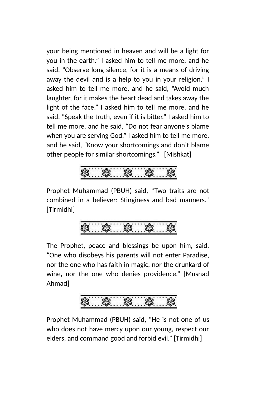your being mentioned in heaven and will be a light for you in the earth." I asked him to tell me more, and he said, "Observe long silence, for it is a means of driving away the devil and is a help to you in your religion." I asked him to tell me more, and he said, "Avoid much laughter, for it makes the heart dead and takes away the light of the face." I asked him to tell me more, and he said, "Speak the truth, even if it is bitter." I asked him to tell me more, and he said, "Do not fear anyone's blame when you are serving God." I asked him to tell me more, and he said, "Know your shortcomings and don't blame other people for similar shortcomings." [Mishkat]



Prophet Muhammad (PBUH) said, "Two traits are not combined in a believer: Stinginess and bad manners." [Tirmidhi]



The Prophet, peace and blessings be upon him, said, "One who disobeys his parents will not enter Paradise, nor the one who has faith in magic, nor the drunkard of wine, nor the one who denies providence." [Musnad Ahmad]



Prophet Muhammad (PBUH) said, "He is not one of us who does not have mercy upon our young, respect our elders, and command good and forbid evil." [Tirmidhi]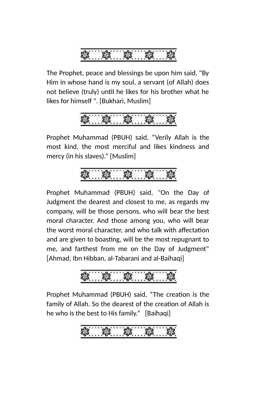

The Prophet, peace and blessings be upon him said, "By Him in whose hand is my soul, a servant (of Allah) does not believe (truly) until he likes for his brother what he likes for himself ". [Bukhari, Muslim]

$$
\sqrt[3]{3}
$$

Prophet Muhammad (PBUH) said, "Verily Allah is the most kind, the most merciful and likes kindness and mercy (in his slaves)." [Muslim]

Prophet Muhammad (PBUH) said, "On the Day of Judgment the dearest and closest to me, as regards my company, will be those persons, who will bear the best moral character. And those among you, who will bear the worst moral character, and who talk with affectation and are given to boasting, will be the most repugnant to me, and farthest from me on the Day of Judgment" [Ahmad, Ibn Hibban, al-Tabarani and al-Baihaqi]



Prophet Muhammad (PBUH) said, "The creation is the family of Allah. So the dearest of the creation of Allah is he who is the best to His family." [Baihaqi]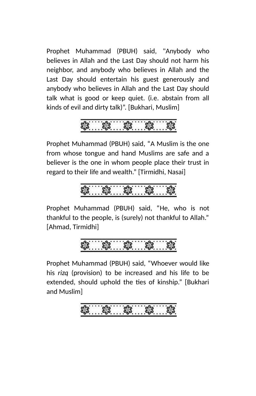Prophet Muhammad (PBUH) said, "Anybody who believes in Allah and the Last Day should not harm his neighbor, and anybody who believes in Allah and the Last Day should entertain his guest generously and anybody who believes in Allah and the Last Day should talk what is good or keep quiet. (i.e. abstain from all kinds of evil and dirty talk)". [Bukhari, Muslim]



Prophet Muhammad (PBUH) said, "A Muslim is the one from whose tongue and hand Muslims are safe and a believer is the one in whom people place their trust in regard to their life and wealth." [Tirmidhi, Nasai]

$$
\frac{1}{2}
$$

Prophet Muhammad (PBUH) said, "He, who is not thankful to the people, is (surely) not thankful to Allah." [Ahmad, Tirmidhi]

Prophet Muhammad (PBUH) said, "Whoever would like his *rizq* (provision) to be increased and his life to be extended, should uphold the ties of kinship." [Bukhari and Muslim]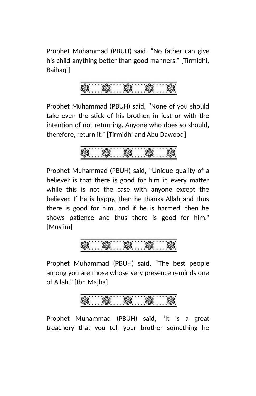Prophet Muhammad (PBUH) said, "No father can give his child anything better than good manners." [Tirmidhi, Baihaqil

Prophet Muhammad (PBUH) said, "None of you should take even the stick of his brother, in jest or with the intention of not returning. Anyone who does so should, therefore, return it." [Tirmidhi and Abu Dawood]



Prophet Muhammad (PBUH) said, "Unique quality of a believer is that there is good for him in every matter while this is not the case with anyone except the believer. If he is happy, then he thanks Allah and thus there is good for him, and if he is harmed, then he shows patience and thus there is good for him." [Muslim]



Prophet Muhammad (PBUH) said, "The best people among you are those whose very presence reminds one of Allah." [Ibn Majha]

Prophet Muhammad (PBUH) said, "It is a great treachery that you tell your brother something he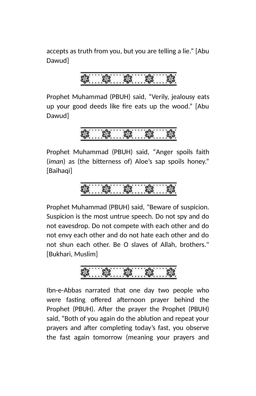accepts as truth from you, but you are telling a lie." [Abu Dawud]

Prophet Muhammad (PBUH) said, "Verily, jealousy eats up your good deeds like fire eats up the wood." [Abu Dawud]

$$
\frac{1}{3}
$$

Prophet Muhammad (PBUH) said, "Anger spoils faith (*iman*) as (the bitterness of) Aloe's sap spoils honey." [Baihaqi]

$$
S_3 \t S_2 \t S_3 \t S_4 \t S_5 \t S_6
$$

Prophet Muhammad (PBUH) said, "Beware of suspicion. Suspicion is the most untrue speech. Do not spy and do not eavesdrop. Do not compete with each other and do not envy each other and do not hate each other and do not shun each other. Be O slaves of Allah, brothers." [Bukhari, Muslim]

Ibn-e-Abbas narrated that one day two people who were fasting offered afternoon prayer behind the Prophet (PBUH). After the prayer the Prophet (PBUH) said, "Both of you again do the ablution and repeat your prayers and after completing today's fast, you observe the fast again tomorrow (meaning your prayers and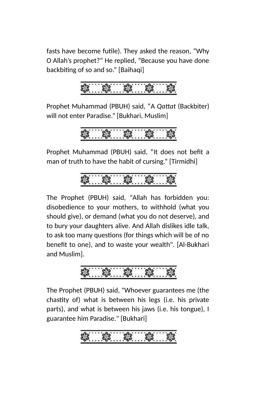fasts have become futile). They asked the reason, "Why O Allah's prophet?" He replied, "Because you have done backbiting of so and so." [Baihaqi]

Prophet Muhammad (PBUH) said, "A *Qattat* (Backbiter) will not enter Paradise." [Bukhari, Muslim]

$$
\frac{1}{3}
$$

Prophet Muhammad (PBUH) said, "It does not befit a man of truth to have the habit of cursing." [Tirmidhi]

The Prophet (PBUH) said, "Allah has forbidden you: disobedience to your mothers, to withhold (what you should give), or demand (what you do not deserve), and to bury your daughters alive. And Allah dislikes idle talk, to ask too many questions (for things which will be of no benefit to one), and to waste your wealth". [Al-Bukhari and Muslim].

The Prophet (PBUH) said, "Whoever guarantees me (the chastity of) what is between his legs (i.e. his private parts), and what is between his jaws (i.e. his tongue), I guarantee him Paradise." [Bukhari]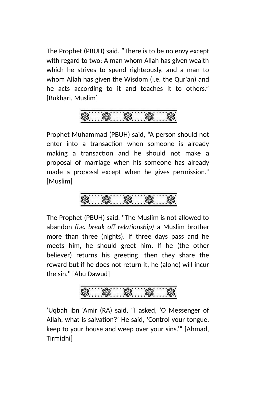The Prophet (PBUH) said, "There is to be no envy except with regard to two: A man whom Allah has given wealth which he strives to spend righteously, and a man to whom Allah has given the Wisdom (i.e. the Qur'an) and he acts according to it and teaches it to others." [Bukhari, Muslim]

$$
\frac{1}{3}
$$

Prophet Muhammad (PBUH) said, "A person should not enter into a transaction when someone is already making a transaction and he should not make a proposal of marriage when his someone has already made a proposal except when he gives permission." [Muslim]



The Prophet (PBUH) said, "The Muslim is not allowed to abandon *(i.e. break off relationship)* a Muslim brother more than three (nights). If three days pass and he meets him, he should greet him. If he (the other believer) returns his greeting, then they share the reward but if he does not return it, he (alone) will incur the sin." [Abu Dawud]

\$. \$. \$. \$. \$.

'Uqbah ibn 'Amir (RA) said, "I asked, 'O Messenger of Allah, what is salvation?' He said, 'Control your tongue, keep to your house and weep over your sins.'" [Ahmad, Tirmidhi]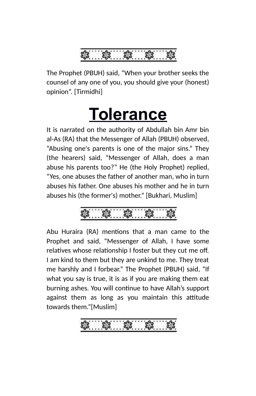

The Prophet (PBUH) said, "When your brother seeks the counsel of any one of you, you should give your (honest) opinion". [Tirmidhi]

# <span id="page-32-0"></span>**Tolerance**

It is narrated on the authority of Abdullah bin Amr bin al-As (RA) that the Messenger of Allah (PBUH) observed, "Abusing one's parents is one of the major sins." They (the hearers) said, "Messenger of Allah, does a man abuse his parents too?" He (the Holy Prophet) replied, "Yes, one abuses the father of another man, who in turn abuses his father. One abuses his mother and he in turn abuses his (the former's) mother." [Bukhari, Muslim]

Abu Huraira (RA) mentions that a man came to the Prophet and said, "Messenger of Allah, I have some relatives whose relationship I foster but they cut me off. I am kind to them but they are unkind to me. They treat me harshly and I forbear." The Prophet (PBUH) said, "If what you say is true, it is as if you are making them eat burning ashes. You will continue to have Allah's support against them as long as you maintain this attitude towards them."[Muslim]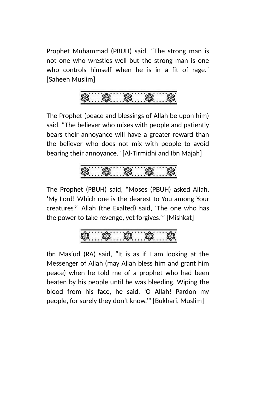Prophet Muhammad (PBUH) said, "The strong man is not one who wrestles well but the strong man is one who controls himself when he is in a fit of rage." [Saheeh Muslim]



The Prophet (peace and blessings of Allah be upon him) said, "The believer who mixes with people and patiently bears their annoyance will have a greater reward than the believer who does not mix with people to avoid bearing their annoyance." [Al-Tirmidhi and Ibn Majah]

The Prophet (PBUH) said, "Moses (PBUH) asked Allah, 'My Lord! Which one is the dearest to You among Your creatures?' Allah (the Exalted) said, 'The one who has the power to take revenge, yet forgives.'" [Mishkat]

Ibn Mas'ud (RA) said, "It is as if I am looking at the Messenger of Allah (may Allah bless him and grant him peace) when he told me of a prophet who had been beaten by his people until he was bleeding. Wiping the blood from his face, he said, 'O Allah! Pardon my people, for surely they don't know.'" [Bukhari, Muslim]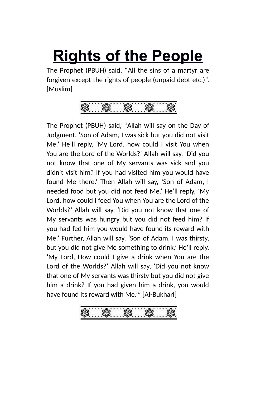# <span id="page-34-0"></span>**Rights of the People**

The Prophet (PBUH) said, "All the sins of a martyr are forgiven except the rights of people (unpaid debt etc.)". [Muslim]

The Prophet (PBUH) said, "Allah will say on the Day of Judgment, 'Son of Adam, I was sick but you did not visit Me.' He'll reply, 'My Lord, how could I visit You when You are the Lord of the Worlds?' Allah will say, 'Did you not know that one of My servants was sick and you didn't visit him? If you had visited him you would have found Me there.' Then Allah will say, 'Son of Adam, I needed food but you did not feed Me.' He'll reply, 'My Lord, how could I feed You when You are the Lord of the Worlds?' Allah will say, 'Did you not know that one of My servants was hungry but you did not feed him? If you had fed him you would have found its reward with Me.' Further, Allah will say, 'Son of Adam, I was thirsty, but you did not give Me something to drink.' He'll reply, 'My Lord, How could I give a drink when You are the Lord of the Worlds?' Allah will say, 'Did you not know that one of My servants was thirsty but you did not give him a drink? If you had given him a drink, you would have found its reward with Me.'" [Al-Bukhari]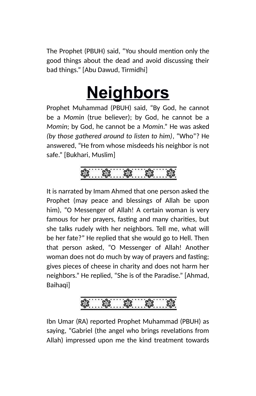The Prophet (PBUH) said, "You should mention only the good things about the dead and avoid discussing their bad things." [Abu Dawud, Tirmidhi]

# <span id="page-35-0"></span>**Neighbors**

Prophet Muhammad (PBUH) said, "By God, he cannot be a *Momin* (true believer); by God, he cannot be a *Momin*; by God, he cannot be a *Momin*." He was asked *(by those gathered around to listen to him)*, "Who"? He answered, "He from whose misdeeds his neighbor is not safe." [Bukhari, Muslim]



It is narrated by Imam Ahmed that one person asked the Prophet (may peace and blessings of Allah be upon him), "O Messenger of Allah! A certain woman is very famous for her prayers, fasting and many charities, but she talks rudely with her neighbors. Tell me, what will be her fate?" He replied that she would go to Hell. Then that person asked, "O Messenger of Allah! Another woman does not do much by way of prayers and fasting; gives pieces of cheese in charity and does not harm her neighbors." He replied, "She is of the Paradise." [Ahmad, Baihaqil



Ibn Umar (RA) reported Prophet Muhammad (PBUH) as saying, "Gabriel (the angel who brings revelations from Allah) impressed upon me the kind treatment towards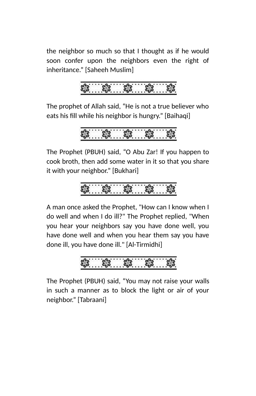the neighbor so much so that I thought as if he would soon confer upon the neighbors even the right of inheritance." [Saheeh Muslim]

The prophet of Allah said, "He is not a true believer who eats his fill while his neighbor is hungry." [Baihaqi]

$$
\frac{3}{2}
$$

The Prophet (PBUH) said, "O Abu Zar! If you happen to cook broth, then add some water in it so that you share it with your neighbor." [Bukhari]

$$
\frac{1}{2}
$$

A man once asked the Prophet, "How can I know when I do well and when I do ill?" The Prophet replied, "When you hear your neighbors say you have done well, you have done well and when you hear them say you have done ill, you have done ill." [Al-Tirmidhi]

The Prophet (PBUH) said, "You may not raise your walls in such a manner as to block the light or air of your neighbor." [Tabraani]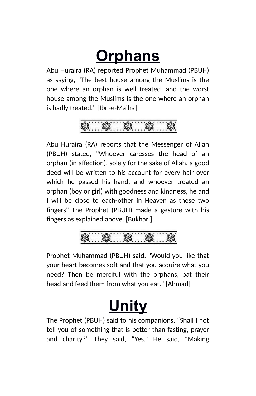## **Orphans**

Abu Huraira (RA) reported Prophet Muhammad (PBUH) as saying, "The best house among the Muslims is the one where an orphan is well treated, and the worst house among the Muslims is the one where an orphan is badly treated." [Ibn-e-Majha]



Abu Huraira (RA) reports that the Messenger of Allah (PBUH) stated, "Whoever caresses the head of an orphan (in affection), solely for the sake of Allah, a good deed will be written to his account for every hair over which he passed his hand, and whoever treated an orphan (boy or girl) with goodness and kindness, he and I will be close to each-other in Heaven as these two fingers" The Prophet (PBUH) made a gesture with his fingers as explained above. [Bukhari]

### \$. \$. \$.

Prophet Muhammad (PBUH) said, "Would you like that your heart becomes soft and that you acquire what you need? Then be merciful with the orphans, pat their head and feed them from what you eat." [Ahmad]

## **Unity**

The Prophet (PBUH) said to his companions, "Shall I not tell you of something that is better than fasting, prayer and charity?" They said, "Yes." He said, "Making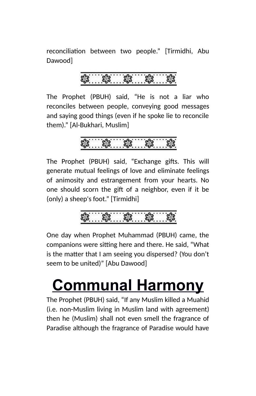reconciliation between two people." [Tirmidhi, Abu Dawood]

The Prophet (PBUH) said, "He is not a liar who reconciles between people, conveying good messages and saying good things (even if he spoke lie to reconcile them)." [Al-Bukhari, Muslim]

The Prophet (PBUH) said, "Exchange gifts. This will generate mutual feelings of love and eliminate feelings of animosity and estrangement from your hearts. No one should scorn the gift of a neighbor, even if it be (only) a sheep's foot." [Tirmidhi]

One day when Prophet Muhammad (PBUH) came, the companions were sitting here and there. He said, "What is the matter that I am seeing you dispersed? (You don't seem to be united)" [Abu Dawood]

### **Communal Harmony**

The Prophet (PBUH) said, "If any Muslim killed a Muahid (i.e. non-Muslim living in Muslim land with agreement) then he (Muslim) shall not even smell the fragrance of Paradise although the fragrance of Paradise would have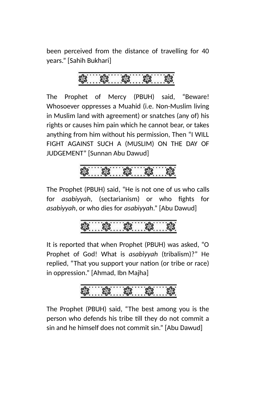been perceived from the distance of travelling for 40 years." [Sahih Bukhari]

The Prophet of Mercy (PBUH) said, "Beware! Whosoever oppresses a Muahid (i.e. Non-Muslim living in Muslim land with agreement) or snatches (any of) his rights or causes him pain which he cannot bear, or takes anything from him without his permission, Then "I WILL FIGHT AGAINST SUCH A (MUSLIM) ON THE DAY OF JUDGEMENT" [Sunnan Abu Dawud]



The Prophet (PBUH) said, "He is not one of us who calls for *asabiyyah*, (sectarianism) or who fights for *asabiyyah*, or who dies for *asabiyyah*." [Abu Dawud]

$$
\frac{3}{2}
$$

It is reported that when Prophet (PBUH) was asked, "O Prophet of God! What is *asabiyyah* (tribalism)?" He replied, "That you support your nation (or tribe or race) in oppression." [Ahmad, Ibn Majha]



The Prophet (PBUH) said, "The best among you is the person who defends his tribe till they do not commit a sin and he himself does not commit sin." [Abu Dawud]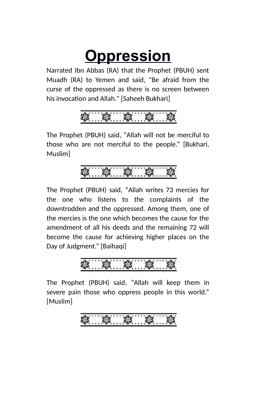### **Oppression**

Narrated Ibn Abbas (RA) that the Prophet (PBUH) sent Muadh (RA) to Yemen and said, "Be afraid from the curse of the oppressed as there is no screen between his invocation and Allah." [Saheeh Bukhari]

The Prophet (PBUH) said, "Allah will not be merciful to those who are not merciful to the people." [Bukhari, Muslim]

The Prophet (PBUH) said, "Allah writes 73 mercies for the one who listens to the complaints of the downtrodden and the oppressed. Among them, one of the mercies is the one which becomes the cause for the amendment of all his deeds and the remaining 72 will become the cause for achieving higher places on the Day of Judgment." [Baihaqi]

The Prophet (PBUH) said, "Allah will keep them in severe pain those who oppress people in this world." [Muslim]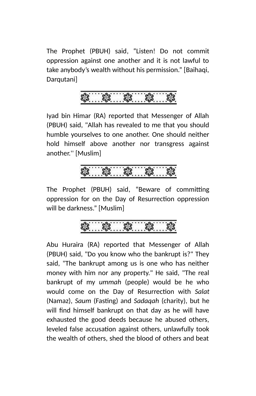The Prophet (PBUH) said, "Listen! Do not commit oppression against one another and it is not lawful to take anybody's wealth without his permission." [Baihaqi, Darqutani]



Iyad bin Himar (RA) reported that Messenger of Allah (PBUH) said, "Allah has revealed to me that you should humble yourselves to one another. One should neither hold himself above another nor transgress against another.'' [Muslim]

The Prophet (PBUH) said, "Beware of committing oppression for on the Day of Resurrection oppression will be darkness." [Muslim]

Abu Huraira (RA) reported that Messenger of Allah (PBUH) said, "Do you know who the bankrupt is?" They said, "The bankrupt among us is one who has neither money with him nor any property." He said, "The real bankrupt of my *ummah* (people) would be he who would come on the Day of Resurrection with *Salat* (Namaz), *Saum* (Fasting) and *Sadaqah* (charity), but he will find himself bankrupt on that day as he will have exhausted the good deeds because he abused others, leveled false accusation against others, unlawfully took the wealth of others, shed the blood of others and beat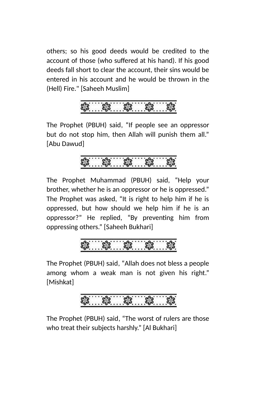others; so his good deeds would be credited to the account of those (who suffered at his hand). If his good deeds fall short to clear the account, their sins would be entered in his account and he would be thrown in the (Hell) Fire." [Saheeh Muslim]



The Prophet (PBUH) said, "If people see an oppressor but do not stop him, then Allah will punish them all." [Abu Dawud]



The Prophet Muhammad (PBUH) said, "Help your brother, whether he is an oppressor or he is oppressed." The Prophet was asked, "It is right to help him if he is oppressed, but how should we help him if he is an oppressor?" He replied, "By preventing him from oppressing others." [Saheeh Bukhari]



The Prophet (PBUH) said, "Allah does not bless a people among whom a weak man is not given his right." [Mishkat]

The Prophet (PBUH) said, "The worst of rulers are those who treat their subjects harshly." [Al Bukhari]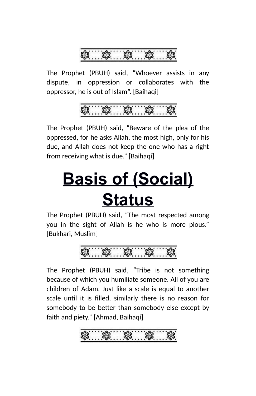The Prophet (PBUH) said, "Whoever assists in any dispute, in oppression or collaborates with the oppressor, he is out of Islam". [Baihaqi]



The Prophet (PBUH) said, "Beware of the plea of the oppressed, for he asks Allah, the most high, only for his due, and Allah does not keep the one who has a right from receiving what is due." [Baihaqi]

# **Basis of (Social) Status**

The Prophet (PBUH) said, "The most respected among you in the sight of Allah is he who is more pious." [Bukhari, Muslim]

The Prophet (PBUH) said, "Tribe is not something because of which you humiliate someone. All of you are children of Adam. Just like a scale is equal to another scale until it is filled, similarly there is no reason for somebody to be better than somebody else except by faith and piety." [Ahmad, Baihaqi]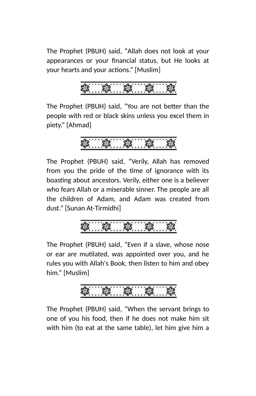The Prophet (PBUH) said, "Allah does not look at your appearances or your financial status, but He looks at your hearts and your actions." [Muslim]

The Prophet (PBUH) said, "You are not better than the people with red or black skins unless you excel them in piety." [Ahmad]

$$
\textcolor{blue}{\textbf{3.163}}\textcolor{blue}{\textbf{3.163}}\textcolor{blue}{\textbf{3.163}}\textcolor{blue}{\textbf{3.163}}
$$

The Prophet (PBUH) said, "Verily, Allah has removed from you the pride of the time of ignorance with its boasting about ancestors. Verily, either one is a believer who fears Allah or a miserable sinner. The people are all the children of Adam, and Adam was created from dust." [Sunan At-Tirmidhi]

The Prophet (PBUH) said, "Even if a slave, whose nose or ear are mutilated, was appointed over you, and he rules you with Allah's Book, then listen to him and obey him." [Muslim]

The Prophet (PBUH) said, "When the servant brings to one of you his food, then if he does not make him sit with him (to eat at the same table), let him give him a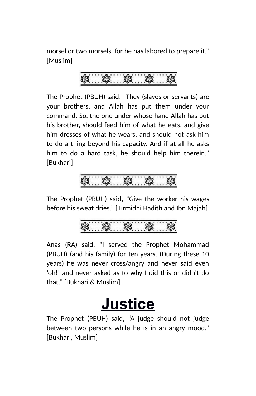morsel or two morsels, for he has labored to prepare it." [Muslim]

The Prophet (PBUH) said, "They (slaves or servants) are your brothers, and Allah has put them under your command. So, the one under whose hand Allah has put his brother, should feed him of what he eats, and give him dresses of what he wears, and should not ask him to do a thing beyond his capacity. And if at all he asks him to do a hard task, he should help him therein." [Bukhari]

### 

The Prophet (PBUH) said, "Give the worker his wages before his sweat dries." [Tirmidhi Hadith and Ibn Majah]

Anas (RA) said, "I served the Prophet Mohammad (PBUH) (and his family) for ten years. (During these 10 years) he was never cross/angry and never said even 'oh!' and never asked as to why I did this or didn't do that." [Bukhari & Muslim]

### **Justice**

The Prophet (PBUH) said, "A judge should not judge between two persons while he is in an angry mood." [Bukhari, Muslim]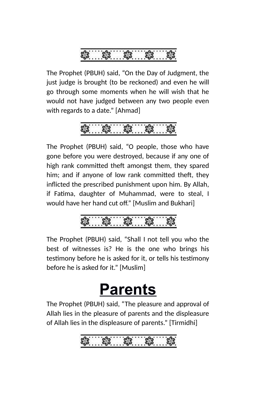

The Prophet (PBUH) said, "On the Day of Judgment, the just judge is brought (to be reckoned) and even he will go through some moments when he will wish that he would not have judged between any two people even with regards to a date." [Ahmad]

The Prophet (PBUH) said, "O people, those who have gone before you were destroyed, because if any one of high rank committed theft amongst them, they spared him; and if anyone of low rank committed theft, they inflicted the prescribed punishment upon him. By Allah, if Fatima, daughter of Muhammad, were to steal, I would have her hand cut off." [Muslim and Bukhari]

The Prophet (PBUH) said, "Shall I not tell you who the best of witnesses is? He is the one who brings his testimony before he is asked for it, or tells his testimony before he is asked for it." [Muslim]

### **Parents**

The Prophet (PBUH) said, "The pleasure and approval of Allah lies in the pleasure of parents and the displeasure of Allah lies in the displeasure of parents." [Tirmidhi]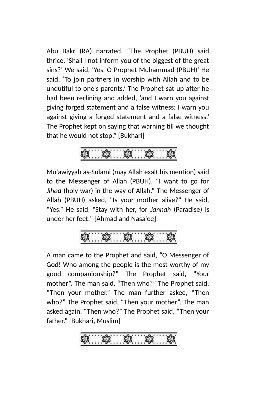Abu Bakr (RA) narrated, "The Prophet (PBUH) said thrice, 'Shall I not inform you of the biggest of the great sins?' We said, 'Yes, O Prophet Muhammad (PBUH)' He said, 'To join partners in worship with Allah and to be undutiful to one's parents.' The Prophet sat up after he had been reclining and added, 'and I warn you against giving forged statement and a false witness; I warn you against giving a forged statement and a false witness.' The Prophet kept on saying that warning till we thought that he would not stop." [Bukhari]



Mu'awiyyah as-Sulami (may Allah exalt his mention) said to the Messenger of Allah (PBUH), "I want to go for *Jihad* (holy war) in the way of Allah." The Messenger of Allah (PBUH) asked, "Is your mother alive?" He said, "Yes." He said, "Stay with her, for *Jannah* (Paradise) is under her feet." [Ahmad and Nasa'ee]



A man came to the Prophet and said, "O Messenger of God! Who among the people is the most worthy of my good companionship?" The Prophet said, "Your mother". The man said, "Then who?" The Prophet said, "Then your mother." The man further asked, "Then who?" The Prophet said, "Then your mother". The man asked again, "Then who?" The Prophet said, "Then your father." [Bukhari, Muslim]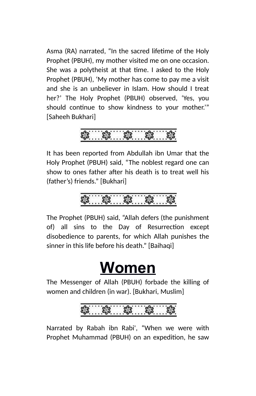Asma (RA) narrated, "In the sacred lifetime of the Holy Prophet (PBUH), my mother visited me on one occasion. She was a polytheist at that time. I asked to the Holy Prophet (PBUH), 'My mother has come to pay me a visit and she is an unbeliever in Islam. How should I treat her?' The Holy Prophet (PBUH) observed, 'Yes, you should continue to show kindness to your mother.'" [Saheeh Bukhari]

It has been reported from Abdullah ibn Umar that the Holy Prophet (PBUH) said, "The noblest regard one can show to ones father after his death is to treat well his (father's) friends." [Bukhari]

$$
\frac{3}{2}
$$

The Prophet (PBUH) said, "Allah defers (the punishment of) all sins to the Day of Resurrection except disobedience to parents, for which Allah punishes the sinner in this life before his death." [Baihaqi]

### **Women**

The Messenger of Allah (PBUH) forbade the killing of women and children (in war). [Bukhari, Muslim]



Narrated by Rabah ibn Rabi', "When we were with Prophet Muhammad (PBUH) on an expedition, he saw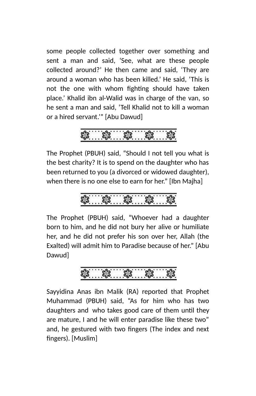some people collected together over something and sent a man and said, 'See, what are these people collected around?' He then came and said, 'They are around a woman who has been killed.' He said, 'This is not the one with whom fighting should have taken place.' Khalid ibn al-Walid was in charge of the van, so he sent a man and said, 'Tell Khalid not to kill a woman or a hired servant.'" [Abu Dawud]

\* \* \*

The Prophet (PBUH) said, "Should I not tell you what is the best charity? It is to spend on the daughter who has been returned to you (a divorced or widowed daughter), when there is no one else to earn for her." [Ibn Majha]

The Prophet (PBUH) said, "Whoever had a daughter born to him, and he did not bury her alive or humiliate her, and he did not prefer his son over her, Allah (the Exalted) will admit him to Paradise because of her." [Abu Dawud]

$$
\textcolor{red}{\textbf{3.63}}\textcolor{white}{\textbf{3.63}}\textcolor{white}{\textbf{3.63}}\textcolor{white}{\textbf{3.63}}\textcolor{white}{\textbf{3.63}}\textcolor{white}{\textbf{3.63}}\textcolor{white}{\textbf{3.63}}\textcolor{white}{\textbf{3.63}}\textcolor{white}{\textbf{3.63}}\textcolor{white}{\textbf{3.63}}\textcolor{white}{\textbf{3.63}}\textcolor{white}{\textbf{3.63}}\textcolor{white}{\textbf{3.63}}\textcolor{white}{\textbf{3.63}}\textcolor{white}{\textbf{3.63}}\textcolor{white}{\textbf{3.63}}\textcolor{white}{\textbf{3.63}}\textcolor{white}{\textbf{3.63}}\textcolor{white}{\textbf{3.63}}\textcolor{white}{\textbf{3.63}}}\textcolor{white}{\textbf{3.63}}\textcolor{white}{\textbf{3.63}}}\textcolor{white}{\textbf{3.63}}}\textcolor{white}{\textbf{3.63}}}\textcolor{white}{\textbf{3.63}}}\textcolor{white}{\textbf{3.63}}}\textcolor{white}{\textbf{3.63}}}\textcolor{white}{\textbf{3.63}}}\textcolor{white}{\textbf{3.63}}}\textcolor{white}{\textbf{3.63}}}\textcolor{white}{\textbf{3.63}}}\textcolor{white}{\textbf{3.63}}}\textcolor{white}{\textbf{3.63}}}\textcolor{white}{\textbf{3.63}}}\textcolor{white}{\textbf{3.63}}}\textcolor{white}{\textbf{3.63}}}\textcolor{white}{\textbf{3.63}}}\textcolor{white}{\textbf{3.63}}}\textcolor{white}{\textbf{3.63}}}\textcolor{white}{\textbf{3.63}}}\textcolor{white}{\textbf{3.63}}}\textcolor{white}{\textbf{3.63}}}\textcolor{white}{\textbf{3.63}}}\textcolor{white}{\textbf{3.63}}}\textcolor{white}{\textbf{3.63}}}\textcolor{white}{\textbf{3.63}}}\textcolor{white}{\textbf{3.63}}}\textcolor{white}{\textbf{3.63}}}\textcolor{white}{\textbf{3.63}}}\textcolor{white}{\textbf{3.63}}}\textcolor{white}{\textbf{
$$

Sayyidina Anas ibn Malik (RA) reported that Prophet Muhammad (PBUH) said, "As for him who has two daughters and who takes good care of them until they are mature, I and he will enter paradise like these two" and, he gestured with two fingers (The index and next fingers). [Muslim]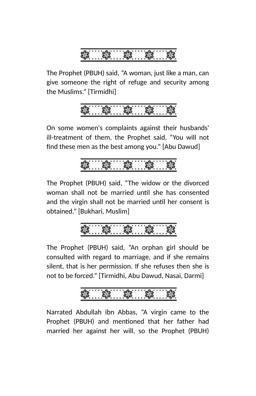

The Prophet (PBUH) said, "A woman, just like a man, can give someone the right of refuge and security among the Muslims." [Tirmidhi]



On some women's complaints against their husbands' ill-treatment of them, the Prophet said, "You will not find these men as the best among you." [Abu Dawud]



The Prophet (PBUH) said, "The widow or the divorced woman shall not be married until she has consented and the virgin shall not be married until her consent is obtained." [Bukhari, Muslim]



The Prophet (PBUH) said, "An orphan girl should be consulted with regard to marriage, and if she remains silent, that is her permission. If she refuses then she is not to be forced." [Tirmidhi, Abu Dawud, Nasai, Darmi]



Narrated Abdullah ibn Abbas, "A virgin came to the Prophet (PBUH) and mentioned that her father had married her against her will, so the Prophet (PBUH)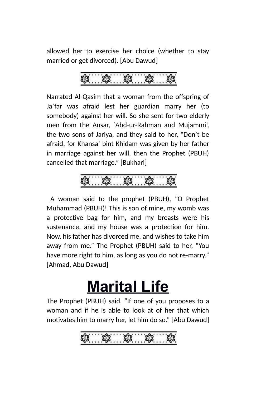allowed her to exercise her choice (whether to stay married or get divorced). [Abu Dawud]

Narrated Al-Qasim that a woman from the offspring of Ja`far was afraid lest her guardian marry her (to somebody) against her will. So she sent for two elderly men from the Ansar, `Abd-ur-Rahman and Mujammi', the two sons of Jariya, and they said to her, "Don't be afraid, for Khansa' bint Khidam was given by her father in marriage against her will, then the Prophet (PBUH) cancelled that marriage." [Bukhari]

 A woman said to the prophet (PBUH), "O Prophet Muhammad (PBUH)! This is son of mine, my womb was a protective bag for him, and my breasts were his sustenance, and my house was a protection for him. Now, his father has divorced me, and wishes to take him away from me." The Prophet (PBUH) said to her, "You have more right to him, as long as you do not re-marry." [Ahmad, Abu Dawud]

### **Marital Life**

The Prophet (PBUH) said, "If one of you proposes to a woman and if he is able to look at of her that which motivates him to marry her, let him do so." [Abu Dawud]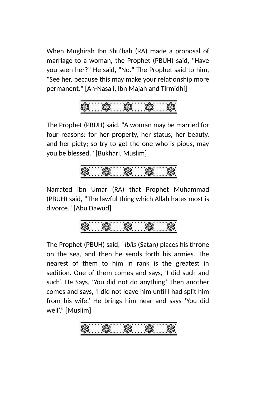When Mughirah Ibn Shu'bah (RA) made a proposal of marriage to a woman, the Prophet (PBUH) said, "Have you seen her?" He said, "No." The Prophet said to him, "See her, because this may make your relationship more permanent." [An-Nasa'i, Ibn Majah and Tirmidhi]

The Prophet (PBUH) said, "A woman may be married for four reasons: for her property, her status, her beauty, and her piety; so try to get the one who is pious, may you be blessed." [Bukhari, Muslim]

Narrated Ibn Umar (RA) that Prophet Muhammad (PBUH) said, "The lawful thing which Allah hates most is divorce." [Abu Dawud]

The Prophet (PBUH) said*, "Iblis* (Satan) places his throne on the sea, and then he sends forth his armies. The nearest of them to him in rank is the greatest in sedition. One of them comes and says, 'I did such and such', He Says, 'You did not do anything' Then another comes and says, 'I did not leave him until I had split him from his wife.' He brings him near and says 'You did well'." [Muslim]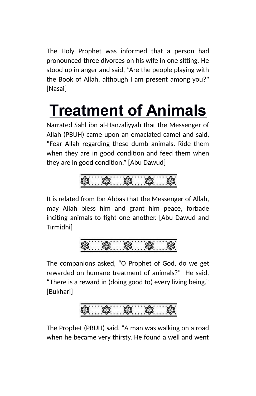The Holy Prophet was informed that a person had pronounced three divorces on his wife in one sitting. He stood up in anger and said, "Are the people playing with the Book of Allah, although I am present among you?" [Nasai]

# **Treatment of Animals**

Narrated Sahl ibn al-Hanzaliyyah that the Messenger of Allah (PBUH) came upon an emaciated camel and said, "Fear Allah regarding these dumb animals. Ride them when they are in good condition and feed them when they are in good condition." [Abu Dawud]



It is related from Ibn Abbas that the Messenger of Allah, may Allah bless him and grant him peace, forbade inciting animals to fight one another. [Abu Dawud and Tirmidhi]



The companions asked, "O Prophet of God, do we get rewarded on humane treatment of animals?" He said, "There is a reward in (doing good to) every living being." [Bukhari]



The Prophet (PBUH) said, "A man was walking on a road when he became very thirsty. He found a well and went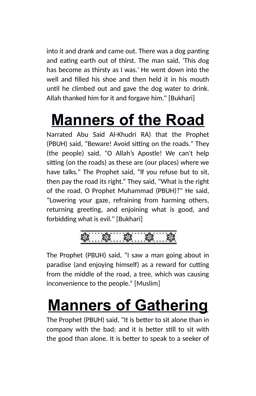into it and drank and came out. There was a dog panting and eating earth out of thirst. The man said, 'This dog has become as thirsty as I was.' He went down into the well and filled his shoe and then held it in his mouth until he climbed out and gave the dog water to drink. Allah thanked him for it and forgave him." [Bukhari]

## **Manners of the Road**

Narrated Abu Said Al-Khudri RA) that the Prophet (PBUH) said, "Beware! Avoid sitting on the roads." They (the people) said, "O Allah's Apostle! We can't help sitting (on the roads) as these are (our places) where we have talks." The Prophet said, "lf you refuse but to sit, then pay the road its right." They said, "What is the right of the road, O Prophet Muhammad (PBUH)?" He said, "Lowering your gaze, refraining from harming others, returning greeting, and enjoining what is good, and forbidding what is evil." [Bukhari]



The Prophet (PBUH) said, "I saw a man going about in paradise (and enjoying himself) as a reward for cutting from the middle of the road, a tree, which was causing inconvenience to the people." [Muslim]

## **Manners of Gathering**

The Prophet (PBUH) said, "It is better to sit alone than in company with the bad; and it is better still to sit with the good than alone. It is better to speak to a seeker of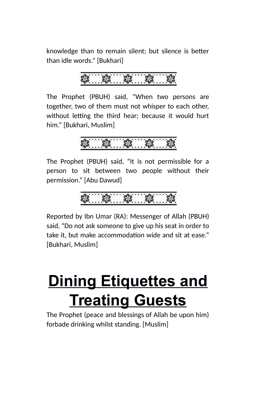knowledge than to remain silent; but silence is better than idle words." [Bukhari]

The Prophet (PBUH) said, "When two persons are together, two of them must not whisper to each other, without letting the third hear; because it would hurt him." [Bukhari, Muslim]

\$ \$ \$ \$ \$

The Prophet (PBUH) said, "It is not permissible for a person to sit between two people without their permission." [Abu Dawud]

Reported by Ibn Umar (RA): Messenger of Allah (PBUH) said, "Do not ask someone to give up his seat in order to take it, but make accommodation wide and sit at ease." [Bukhari, Muslim]

### **Dining Etiquettes and Treating Guests**

The Prophet (peace and blessings of Allah be upon him) forbade drinking whilst standing. [Muslim]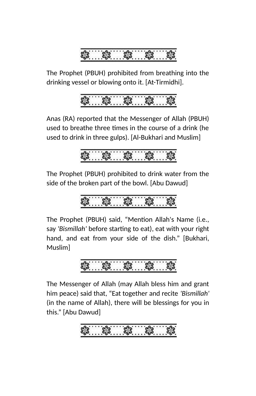

The Prophet (PBUH) prohibited from breathing into the drinking vessel or blowing onto it. [At-Tirmidhi].

Anas (RA) reported that the Messenger of Allah (PBUH) used to breathe three times in the course of a drink (he used to drink in three gulps). [Al-Bukhari and Muslim]

The Prophet (PBUH) prohibited to drink water from the side of the broken part of the bowl. [Abu Dawud]

The Prophet (PBUH) said, "Mention Allah's Name (i.e., say *'Bismillah'* before starting to eat), eat with your right hand, and eat from your side of the dish." [Bukhari, Muslim]

The Messenger of Allah (may Allah bless him and grant him peace) said that, "Eat together and recite *'Bismillah'* (in the name of Allah), there will be blessings for you in this." [Abu Dawud]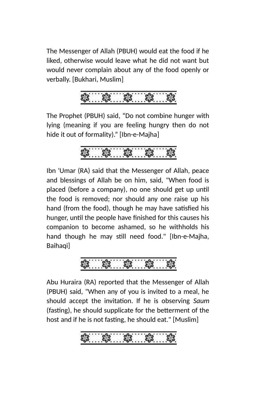The Messenger of Allah (PBUH) would eat the food if he liked, otherwise would leave what he did not want but would never complain about any of the food openly or verbally. [Bukhari, Muslim]



The Prophet (PBUH) said, "Do not combine hunger with lying (meaning if you are feeling hungry then do not hide it out of formality)." [Ibn-e-Majha]



Ibn 'Umar (RA) said that the Messenger of Allah, peace and blessings of Allah be on him, said, "When food is placed (before a company), no one should get up until the food is removed; nor should any one raise up his hand (from the food), though he may have satisfied his hunger, until the people have finished for this causes his companion to become ashamed, so he withholds his hand though he may still need food." [Ibn-e-Majha, Baihaqi]



Abu Huraira (RA) reported that the Messenger of Allah (PBUH) said, "When any of you is invited to a meal, he should accept the invitation. If he is observing *Saum* (fasting), he should supplicate for the betterment of the host and if he is not fasting, he should eat." [Muslim]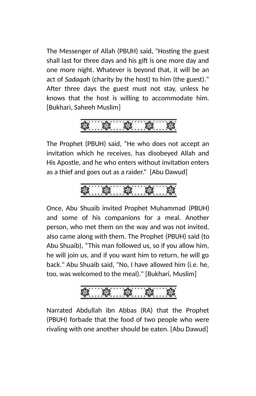The Messenger of Allah (PBUH) said, "Hosting the guest shall last for three days and his gift is one more day and one more night. Whatever is beyond that, it will be an act of *Sadaqah* (charity by the host) to him (the guest)." After three days the guest must not stay, unless he knows that the host is willing to accommodate him. [Bukhari, Saheeh Muslim]

$$
\frac{3}{2}
$$

The Prophet (PBUH) said, "He who does not accept an invitation which he receives, has disobeyed Allah and His Apostle, and he who enters without invitation enters as a thief and goes out as a raider." [Abu Dawud]

Once, Abu Shuaib invited Prophet Muhammad (PBUH) and some of his companions for a meal. Another person, who met them on the way and was not invited, also came along with them. The Prophet (PBUH) said (to Abu Shuaib), "This man followed us, so if you allow him, he will join us, and if you want him to return, he will go back." Abu Shuaib said, "No, I have allowed him (i.e. he, too, was welcomed to the meal)." [Bukhari, Muslim]

3. \$. \$. \$. \$.

Narrated Abdullah ibn Abbas (RA) that the Prophet (PBUH) forbade that the food of two people who were rivaling with one another should be eaten. [Abu Dawud]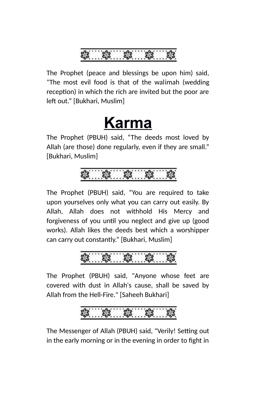

The Prophet (peace and blessings be upon him) said, "The most evil food is that of the walimah (wedding reception) in which the rich are invited but the poor are left out." [Bukhari, Muslim]

### **Karma**

The Prophet (PBUH) said, "The deeds most loved by Allah (are those) done regularly, even if they are small." [Bukhari, Muslim]

The Prophet (PBUH) said, "You are required to take upon yourselves only what you can carry out easily. By Allah, Allah does not withhold His Mercy and forgiveness of you until you neglect and give up (good works). Allah likes the deeds best which a worshipper can carry out constantly." [Bukhari, Muslim]



The Prophet (PBUH) said, "Anyone whose feet are covered with dust in Allah's cause, shall be saved by Allah from the Hell-Fire." [Saheeh Bukhari]

### 

The Messenger of Allah (PBUH) said, "Verily! Setting out in the early morning or in the evening in order to fight in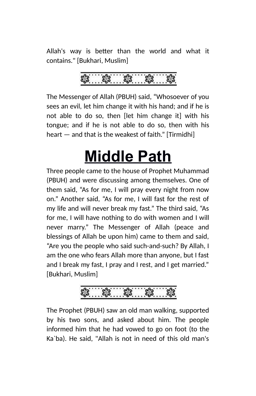Allah's way is better than the world and what it contains." [Bukhari, Muslim]

The Messenger of Allah (PBUH) said, "Whosoever of you sees an evil, let him change it with his hand; and if he is not able to do so, then [let him change it] with his tongue; and if he is not able to do so, then with his heart — and that is the weakest of faith." [Tirmidhi]

### **Middle Path**

Three people came to the house of Prophet Muhammad (PBUH) and were discussing among themselves. One of them said, "As for me, I will pray every night from now on." Another said, "As for me, I will fast for the rest of my life and will never break my fast." The third said, "As for me, I will have nothing to do with women and I will never marry." The Messenger of Allah (peace and blessings of Allah be upon him) came to them and said, "Are you the people who said such-and-such? By Allah, I am the one who fears Allah more than anyone, but I fast and I break my fast, I pray and I rest, and I get married." [Bukhari, Muslim]

8. \$. \$

The Prophet (PBUH) saw an old man walking, supported by his two sons, and asked about him. The people informed him that he had vowed to go on foot (to the Ka`ba). He said, "Allah is not in need of this old man's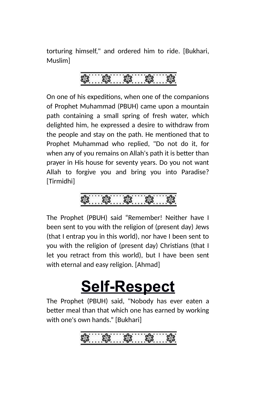torturing himself," and ordered him to ride. [Bukhari, Muslim]

On one of his expeditions, when one of the companions of Prophet Muhammad (PBUH) came upon a mountain path containing a small spring of fresh water, which delighted him, he expressed a desire to withdraw from the people and stay on the path. He mentioned that to Prophet Muhammad who replied, "Do not do it, for when any of you remains on Allah's path it is better than prayer in His house for seventy years. Do you not want Allah to forgive you and bring you into Paradise? [Tirmidhi]



The Prophet (PBUH) said "Remember! Neither have I been sent to you with the religion of (present day) Jews (that I entrap you in this world), nor have I been sent to you with the religion of (present day) Christians (that I let you retract from this world), but I have been sent with eternal and easy religion. [Ahmad]

### **Self-Respect**

The Prophet (PBUH) said, "Nobody has ever eaten a better meal than that which one has earned by working with one's own hands." [Bukhari]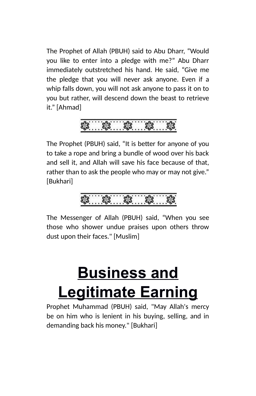The Prophet of Allah (PBUH) said to Abu Dharr, "Would you like to enter into a pledge with me?" Abu Dharr immediately outstretched his hand. He said, "Give me the pledge that you will never ask anyone. Even if a whip falls down, you will not ask anyone to pass it on to you but rather, will descend down the beast to retrieve it." [Ahmad]

The Prophet (PBUH) said, "It is better for anyone of you to take a rope and bring a bundle of wood over his back and sell it, and Allah will save his face because of that, rather than to ask the people who may or may not give." [Bukhari]



The Messenger of Allah (PBUH) said, "When you see those who shower undue praises upon others throw dust upon their faces." [Muslim]

### **Business and Legitimate Earning**

Prophet Muhammad (PBUH) said, "May Allah's mercy be on him who is lenient in his buying, selling, and in demanding back his money." [Bukhari]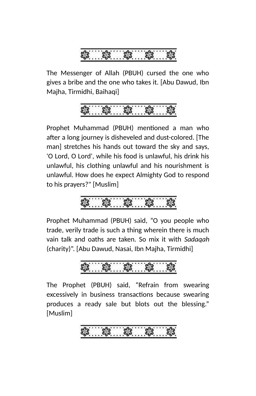

The Messenger of Allah (PBUH) cursed the one who gives a bribe and the one who takes it. [Abu Dawud, Ibn Majha, Tirmidhi, Baihaqi]



Prophet Muhammad (PBUH) mentioned a man who after a long journey is disheveled and dust-colored. [The man] stretches his hands out toward the sky and says, 'O Lord, O Lord', while his food is unlawful, his drink his unlawful, his clothing unlawful and his nourishment is unlawful. How does he expect Almighty God to respond to his prayers?" [Muslim]

Prophet Muhammad (PBUH) said, "O you people who trade, verily trade is such a thing wherein there is much vain talk and oaths are taken. So mix it with *Sadaqah* (charity)". [Abu Dawud, Nasai, Ibn Majha, Tirmidhi]

The Prophet (PBUH) said, "Refrain from swearing excessively in business transactions because swearing produces a ready sale but blots out the blessing." [Muslim]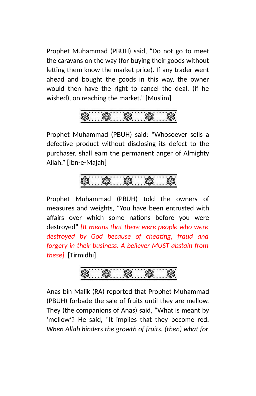Prophet Muhammad (PBUH) said, "Do not go to meet the caravans on the way (for buying their goods without letting them know the market price). If any trader went ahead and bought the goods in this way, the owner would then have the right to cancel the deal, (if he wished), on reaching the market." [Muslim]

Prophet Muhammad (PBUH) said: "Whosoever sells a defective product without disclosing its defect to the purchaser, shall earn the permanent anger of Almighty Allah." [Ibn-e-Majah]

Prophet Muhammad (PBUH) told the owners of measures and weights, "You have been entrusted with affairs over which some nations before you were destroyed" *[It means that there were people who were destroyed by God because of cheating, fraud and forgery in their business. A believer MUST abstain from these].* [Tirmidhi]

Anas bin Malik (RA) reported that Prophet Muhammad (PBUH) forbade the sale of fruits until they are mellow. They (the companions of Anas) said, "What is meant by 'mellow'? He said, "It implies that they become red. *When Allah hinders the growth of fruits, (then) what for*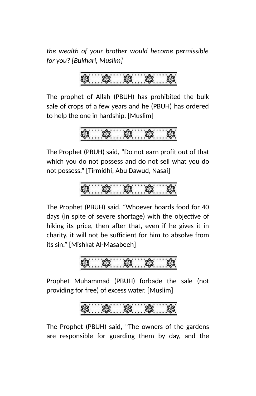*the wealth of your brother would become permissible for you? [Bukhari, Muslim]*

The prophet of Allah (PBUH) has prohibited the bulk sale of crops of a few years and he (PBUH) has ordered to help the one in hardship. [Muslim]

$$
\frac{3}{100}
$$

The Prophet (PBUH) said, "Do not earn profit out of that which you do not possess and do not sell what you do not possess." [Tirmidhi, Abu Dawud, Nasai]

$$
\frac{1}{2}
$$

The Prophet (PBUH) said, "Whoever hoards food for 40 days (in spite of severe shortage) with the objective of hiking its price, then after that, even if he gives it in charity, it will not be sufficient for him to absolve from its sin." [Mishkat Al-Masabeeh]

Prophet Muhammad (PBUH) forbade the sale (not providing for free) of excess water. [Muslim]

The Prophet (PBUH) said, "The owners of the gardens are responsible for guarding them by day, and the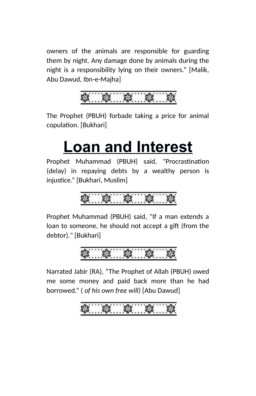owners of the animals are responsible for guarding them by night. Any damage done by animals during the night is a responsibility lying on their owners." [Malik, Abu Dawud, Ibn-e-Majha]



The Prophet (PBUH) forbade taking a price for animal copulation. [Bukhari]

### **Loan and Interest**

Prophet Muhammad (PBUH) said, "Procrastination (delay) in repaying debts by a wealthy person is injustice." [Bukhari, Muslim]

Prophet Muhammad (PBUH) said, "If a man extends a loan to someone, he should not accept a gift (from the debtor)." [Bukhari]

Narrated Jabir (RA), "The Prophet of Allah (PBUH) owed me some money and paid back more than he had borrowed." ( *of his own free will)* [Abu Dawud]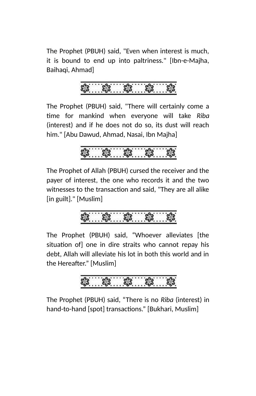The Prophet (PBUH) said, "Even when interest is much, it is bound to end up into paltriness." [Ibn-e-Majha, Baihaqi, Ahmad]

The Prophet (PBUH) said, "There will certainly come a time for mankind when everyone will take *Riba* (interest) and if he does not do so, its dust will reach him." [Abu Dawud, Ahmad, Nasai, Ibn Majha]

The Prophet of Allah (PBUH) cursed the receiver and the payer of interest, the one who records it and the two witnesses to the transaction and said, "They are all alike [in guilt]." [Muslim]

$$
\textcolor{blue}{\textbf{3.163}}\textcolor{blue}{\textbf{3.163}}\textcolor{blue}{\textbf{3.163}}\textcolor{blue}{\textbf{3.163}}
$$

The Prophet (PBUH) said, "Whoever alleviates [the situation of] one in dire straits who cannot repay his debt, Allah will alleviate his lot in both this world and in the Hereafter." [Muslim]

The Prophet (PBUH) said, "There is no *Riba* (interest) in hand-to-hand [spot] transactions." [Bukhari, Muslim]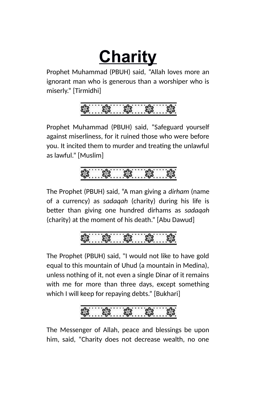# **Charity**

Prophet Muhammad (PBUH) said, "Allah loves more an ignorant man who is generous than a worshiper who is miserly." [Tirmidhi]

$$
\sqrt[3]{\frac{1}{100}} \cdot \sqrt[3]{\frac{1}{100}}
$$

Prophet Muhammad (PBUH) said, "Safeguard yourself against miserliness, for it ruined those who were before you. It incited them to murder and treating the unlawful as lawful." [Muslim]

The Prophet (PBUH) said, "A man giving a *dirham* (name of a currency) as *sadaqah* (charity) during his life is better than giving one hundred dirhams as *sadaqah* (charity) at the moment of his death." [Abu Dawud]

The Prophet (PBUH) said, "I would not like to have gold equal to this mountain of Uhud (a mountain in Medina), unless nothing of it, not even a single Dinar of it remains with me for more than three days, except something which I will keep for repaying debts." [Bukhari]

The Messenger of Allah, peace and blessings be upon him, said, "Charity does not decrease wealth, no one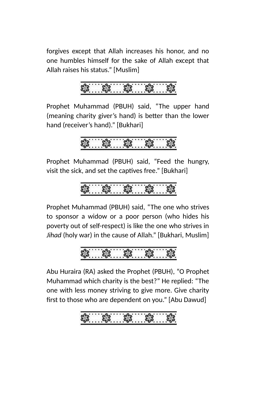forgives except that Allah increases his honor, and no one humbles himself for the sake of Allah except that Allah raises his status." [Muslim]

Prophet Muhammad (PBUH) said, "The upper hand (meaning charity giver's hand) is better than the lower hand (receiver's hand)." [Bukhari]

$$
\frac{2}{3}
$$

Prophet Muhammad (PBUH) said, "Feed the hungry, visit the sick, and set the captives free." [Bukhari]

$$
\frac{1}{3}
$$

Prophet Muhammad (PBUH) said, "The one who strives to sponsor a widow or a poor person (who hides his poverty out of self-respect) is like the one who strives in *Jihad* (holy war) in the cause of Allah." [Bukhari, Muslim]



Abu Huraira (RA) asked the Prophet (PBUH), "O Prophet Muhammad which charity is the best?" He replied: "The one with less money striving to give more. Give charity first to those who are dependent on you." [Abu Dawud]

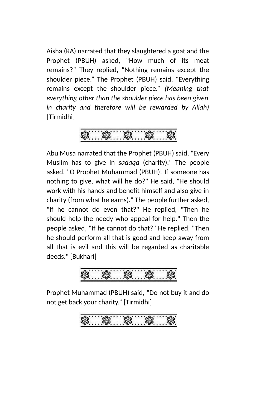Aisha (RA) narrated that they slaughtered a goat and the Prophet (PBUH) asked, "How much of its meat remains?" They replied, "Nothing remains except the shoulder piece." The Prophet (PBUH) said, "Everything remains except the shoulder piece." *(Meaning that everything other than the shoulder piece has been given in charity and therefore will be rewarded by Allah)* [Tirmidhi]

Abu Musa narrated that the Prophet (PBUH) said, "Every Muslim has to give in *sadaqa* (charity)." The people asked, "O Prophet Muhammad (PBUH)! If someone has nothing to give, what will he do?" He said, "He should work with his hands and benefit himself and also give in charity (from what he earns)." The people further asked, "If he cannot do even that?" He replied, "Then he should help the needy who appeal for help." Then the people asked, "If he cannot do that?" He replied, "Then he should perform all that is good and keep away from all that is evil and this will be regarded as charitable deeds." [Bukhari]

Prophet Muhammad (PBUH) said, "Do not buy it and do not get back your charity." [Tirmidhi]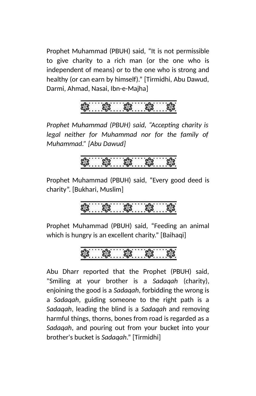Prophet Muhammad (PBUH) said, "It is not permissible to give charity to a rich man (or the one who is independent of means) or to the one who is strong and healthy (or can earn by himself)." [Tirmidhi, Abu Dawud, Darmi, Ahmad, Nasai, Ibn-e-Majha]



*Prophet Muhammad (PBUH) said, "Accepting charity is legal neither for Muhammad nor for the family of Muhammad." [Abu Dawud]*



Prophet Muhammad (PBUH) said, "Every good deed is charity". [Bukhari, Muslim]

.... \$ .... \$ ...

Prophet Muhammad (PBUH) said, "Feeding an animal which is hungry is an excellent charity." [Baihaqi]

$$
\textcolor{blue}{\textbf{3.33}}\textcolor{blue}{\textbf{3.4}}\textcolor{blue}{\textbf{3.4}}\textcolor{blue}{\textbf{3.4}}\textcolor{blue}{\textbf{3.4}}\textcolor{blue}{\textbf{3.4}}\textcolor{blue}{\textbf{3.4}}\textcolor{blue}{\textbf{3.4}}\textcolor{blue}{\textbf{3.4}}\textcolor{blue}{\textbf{3.4}}\textcolor{blue}{\textbf{3.4}}\textcolor{blue}{\textbf{3.4}}\textcolor{blue}{\textbf{3.4}}\textcolor{blue}{\textbf{3.4}}\textcolor{blue}{\textbf{3.4}}\textcolor{blue}{\textbf{3.4}}\textcolor{blue}{\textbf{3.4}}\textcolor{blue}{\textbf{3.4}}\textcolor{blue}{\textbf{3.4}}\textcolor{blue}{\textbf{3.4}}\textcolor{blue}{\textbf{3.4}}\textcolor{blue}{\textbf{3.4}}\textcolor{blue}{\textbf{3.4}}\textcolor{blue}{\textbf{3.4}}\textcolor{blue}{\textbf{3.4}}\textcolor{blue}{\textbf{3.4}}\textcolor{blue}{\textbf{3.4}}\textcolor{blue}{\textbf{3.4}}\textcolor{blue}{\textbf{3.4}}\textcolor{blue}{\textbf{3.4}}\textcolor{blue}{\textbf{3.4}}\textcolor{blue}{\textbf{3.4}}\textcolor{blue}{\textbf{3.4}}\textcolor{blue}{\textbf{3.4}}\textcolor{blue}{\textbf{3.4}}\textcolor{blue}{\textbf{3.4}}\textcolor{blue}{\textbf{3.4}}\textcolor{blue}{\textbf{3.4}}\textcolor{blue}{\textbf{3.4}}\textcolor{blue}{\textbf{3.4}}\textcolor{blue}{\textbf{3.4}}\textcolor{blue}{\textbf{3.4}}\textcolor{blue}{\textbf{3.4}}\textcolor{blue}{\textbf{3.4}}\textcolor{blue}{\textbf{3.4}}\textcolor{blue}{\textbf{3.4}}\textcolor{blue}{\textbf{3.4}}\textcolor{blue}{\textbf{3.4}}\textcolor{blue}{\textbf{3.4}}\textcolor{blue}{\textbf{3.4}}\textcolor{blue}{\textbf{3.4}}\textcolor{blue}{\textbf{3.4}}\textcolor{blue}{\textbf{3.4}}\textcolor{blue}{\textbf{3.4}}\textcolor
$$

Abu Dharr reported that the Prophet (PBUH) said, "Smiling at your brother is a *Sadaqah* (charity), enjoining the good is a *Sadaqah*, forbidding the wrong is a *Sadaqah*, guiding someone to the right path is a *Sadaqah*, leading the blind is a *Sadaqah* and removing harmful things, thorns, bones from road is regarded as a *Sadaqah*, and pouring out from your bucket into your brother's bucket is *Sadaqah*." [Tirmidhi]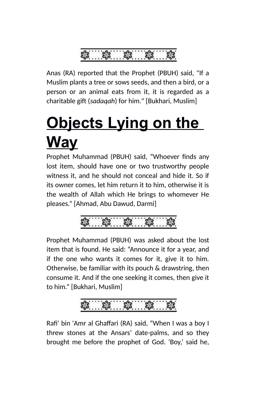

Anas (RA) reported that the Prophet (PBUH) said, "If a Muslim plants a tree or sows seeds, and then a bird, or a person or an animal eats from it, it is regarded as a charitable gift (*sadaqah*) for him." [Bukhari, Muslim]

# **Objects Lying on the Way**

Prophet Muhammad (PBUH) said, "Whoever finds any lost item, should have one or two trustworthy people witness it, and he should not conceal and hide it. So if its owner comes, let him return it to him, otherwise it is the wealth of Allah which He brings to whomever He pleases." [Ahmad, Abu Dawud, Darmi]

Prophet Muhammad (PBUH) was asked about the lost item that is found. He said: "Announce it for a year, and if the one who wants it comes for it, give it to him. Otherwise, be familiar with its pouch & drawstring, then consume it. And if the one seeking it comes, then give it to him." [Bukhari, Muslim]



Rafi' bin 'Amr al Ghaffari (RA) said, "When I was a boy I threw stones at the Ansars' date-palms, and so they brought me before the prophet of God. 'Boy,' said he,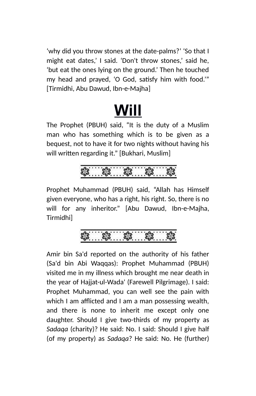'why did you throw stones at the date-palms?' 'So that I might eat dates,' I said. 'Don't throw stones,' said he, 'but eat the ones lying on the ground.' Then he touched my head and prayed, 'O God, satisfy him with food.'" [Tirmidhi, Abu Dawud, Ibn-e-Majha]

### **Will**

The Prophet (PBUH) said, "It is the duty of a Muslim man who has something which is to be given as a bequest, not to have it for two nights without having his will written regarding it." [Bukhari, Muslim]

Prophet Muhammad (PBUH) said, "Allah has Himself given everyone, who has a right, his right. So, there is no will for any inheritor." [Abu Dawud, Ibn-e-Majha, Tirmidhi]

Amir bin Sa'd reported on the authority of his father (Sa'd bin Abi Waqqas): Prophet Muhammad (PBUH) visited me in my illness which brought me near death in the year of Hajjat-ul-Wada' (Farewell Pilgrimage). I said: Prophet Muhammad, you can well see the pain with which I am afflicted and I am a man possessing wealth, and there is none to inherit me except only one daughter. Should I give two-thirds of my property as *Sadaqa* (charity)? He said: No. I said: Should I give half (of my property) as *Sadaqa*? He said: No. He (further)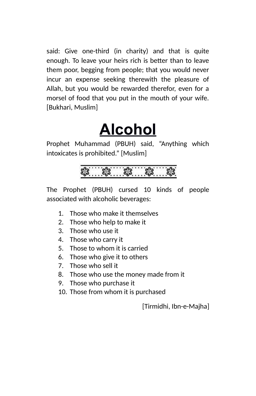said: Give one-third (in charity) and that is quite enough. To leave your heirs rich is better than to leave them poor, begging from people; that you would never incur an expense seeking therewith the pleasure of Allah, but you would be rewarded therefor, even for a morsel of food that you put in the mouth of your wife. [Bukhari, Muslim]

### **Alcohol**

Prophet Muhammad (PBUH) said, "Anything which intoxicates is prohibited." [Muslim]

The Prophet (PBUH) cursed 10 kinds of people associated with alcoholic beverages:

- 1. Those who make it themselves
- 2. Those who help to make it
- 3. Those who use it
- 4. Those who carry it
- 5. Those to whom it is carried
- 6. Those who give it to others
- 7. Those who sell it
- 8. Those who use the money made from it
- 9. Those who purchase it
- 10. Those from whom it is purchased

[Tirmidhi, Ibn-e-Majha]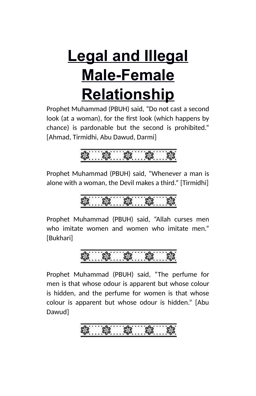## **Legal and Illegal Male-Female Relationship**

Prophet Muhammad (PBUH) said, "Do not cast a second look (at a woman), for the first look (which happens by chance) is pardonable but the second is prohibited." [Ahmad, Tirmidhi, Abu Dawud, Darmi]



Prophet Muhammad (PBUH) said, "Whenever a man is alone with a woman, the Devil makes a third." [Tirmidhi]

Prophet Muhammad (PBUH) said, "Allah curses men who imitate women and women who imitate men." [Bukhari]

Prophet Muhammad (PBUH) said, "The perfume for men is that whose odour is apparent but whose colour is hidden, and the perfume for women is that whose colour is apparent but whose odour is hidden." [Abu Dawud]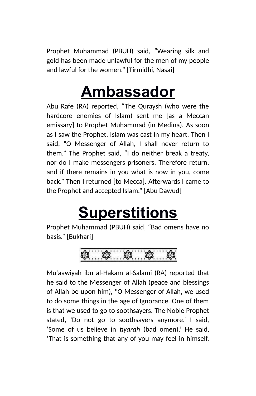Prophet Muhammad (PBUH) said, "Wearing silk and gold has been made unlawful for the men of my people and lawful for the women." [Tirmidhi, Nasai]

### **Ambassador**

Abu Rafe (RA) reported, "The Quraysh (who were the hardcore enemies of Islam) sent me [as a Meccan emissary] to Prophet Muhammad (in Medina). As soon as I saw the Prophet, Islam was cast in my heart. Then I said, "O Messenger of Allah, I shall never return to them." The Prophet said, "I do neither break a treaty, nor do I make messengers prisoners. Therefore return, and if there remains in you what is now in you, come back." Then I returned [to Mecca]. Afterwards I came to the Prophet and accepted Islam." [Abu Dawud]

### **Superstitions**

Prophet Muhammad (PBUH) said, "Bad omens have no basis." [Bukhari]

Mu'aawiyah ibn al-Hakam al-Salami (RA) reported that he said to the Messenger of Allah (peace and blessings of Allah be upon him), "O Messenger of Allah, we used to do some things in the age of Ignorance. One of them is that we used to go to soothsayers. The Noble Prophet stated, 'Do not go to soothsayers anymore.' I said, 'Some of us believe in *tiyarah* (bad omen).' He said, 'That is something that any of you may feel in himself,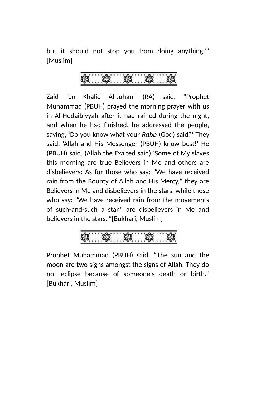but it should not stop you from doing anything.'" [Muslim]

Zaid Ibn Khalid Al-Juhani (RA) said, "Prophet Muhammad (PBUH) prayed the morning prayer with us in Al-Hudaibiyyah after it had rained during the night, and when he had finished, he addressed the people, saying, 'Do you know what your *Rabb* (God) said?' They said, 'Allah and His Messenger (PBUH) know best!' He (PBUH) said, (Allah the Exalted said) 'Some of My slaves this morning are true Believers in Me and others are disbelievers: As for those who say: "We have received rain from the Bounty of Allah and His Mercy," they are Believers in Me and disbelievers in the stars, while those who say: "We have received rain from the movements of such-and-such a star," are disbelievers in Me and believers in the stars.'"[Bukhari, Muslim]



Prophet Muhammad (PBUH) said, "The sun and the moon are two signs amongst the signs of Allah. They do not eclipse because of someone's death or birth." [Bukhari, Muslim]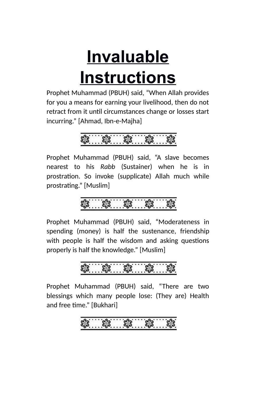# **Invaluable Instructions**

Prophet Muhammad (PBUH) said, "When Allah provides for you a means for earning your livelihood, then do not retract from it until circumstances change or losses start incurring." [Ahmad, Ibn-e-Majha]

Prophet Muhammad (PBUH) said, "A slave becomes nearest to his *Rabb* (Sustainer) when he is in prostration. So invoke (supplicate) Allah much while prostrating." [Muslim]

Prophet Muhammad (PBUH) said, "Moderateness in spending (money) is half the sustenance, friendship with people is half the wisdom and asking questions properly is half the knowledge." [Muslim]

Prophet Muhammad (PBUH) said, "There are two blessings which many people lose: (They are) Health and free time." [Bukhari]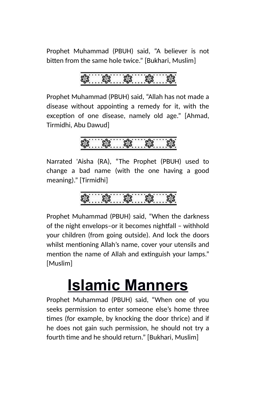Prophet Muhammad (PBUH) said, "A believer is not bitten from the same hole twice." [Bukhari, Muslim]

$$
\textcolor{blue}{\textbf{3.33}}\textcolor{blue}{\textbf{3.4}}\textcolor{blue}{\textbf{3.4}}\textcolor{blue}{\textbf{3.4}}\textcolor{blue}{\textbf{3.4}}\textcolor{blue}{\textbf{3.4}}\textcolor{blue}{\textbf{3.4}}\textcolor{blue}{\textbf{3.4}}\textcolor{blue}{\textbf{3.4}}\textcolor{blue}{\textbf{3.4}}\textcolor{blue}{\textbf{3.4}}\textcolor{blue}{\textbf{3.4}}\textcolor{blue}{\textbf{3.4}}\textcolor{blue}{\textbf{3.4}}\textcolor{blue}{\textbf{3.4}}\textcolor{blue}{\textbf{3.4}}\textcolor{blue}{\textbf{3.4}}\textcolor{blue}{\textbf{3.4}}\textcolor{blue}{\textbf{3.4}}\textcolor{blue}{\textbf{3.4}}\textcolor{blue}{\textbf{3.4}}\textcolor{blue}{\textbf{3.4}}\textcolor{blue}{\textbf{3.4}}\textcolor{blue}{\textbf{3.4}}\textcolor{blue}{\textbf{3.4}}\textcolor{blue}{\textbf{3.4}}\textcolor{blue}{\textbf{3.4}}\textcolor{blue}{\textbf{3.4}}\textcolor{blue}{\textbf{3.4}}\textcolor{blue}{\textbf{3.4}}\textcolor{blue}{\textbf{3.4}}\textcolor{blue}{\textbf{3.4}}\textcolor{blue}{\textbf{3.4}}\textcolor{blue}{\textbf{3.4}}\textcolor{blue}{\textbf{3.4}}\textcolor{blue}{\textbf{3.4}}\textcolor{blue}{\textbf{3.4}}\textcolor{blue}{\textbf{3.4}}\textcolor{blue}{\textbf{3.4}}\textcolor{blue}{\textbf{3.4}}\textcolor{blue}{\textbf{3.4}}\textcolor{blue}{\textbf{3.4}}\textcolor{blue}{\textbf{3.4}}\textcolor{blue}{\textbf{3.4}}\textcolor{blue}{\textbf{3.4}}\textcolor{blue}{\textbf{3.4}}\textcolor{blue}{\textbf{3.4}}\textcolor{blue}{\textbf{3.4}}\textcolor{blue}{\textbf{3.4}}\textcolor{blue}{\textbf{3.4}}\textcolor{blue}{\textbf{3.4}}\textcolor{blue}{\textbf{3.4}}\textcolor{blue}{\textbf{3.4}}\textcolor{blue}{\textbf{3.4}}\textcolor
$$

Prophet Muhammad (PBUH) said, "Allah has not made a disease without appointing a remedy for it, with the exception of one disease, namely old age." [Ahmad, Tirmidhi, Abu Dawud]

 $3.33.33$ 

Narrated 'Aisha (RA), "The Prophet (PBUH) used to change a bad name (with the one having a good meaning)." [Tirmidhi]

Prophet Muhammad (PBUH) said, "When the darkness of the night envelops–or it becomes nightfall – withhold your children (from going outside). And lock the doors whilst mentioning Allah's name, cover your utensils and mention the name of Allah and extinguish your lamps." [Muslim]

### **Islamic Manners**

Prophet Muhammad (PBUH) said, "When one of you seeks permission to enter someone else's home three times (for example, by knocking the door thrice) and if he does not gain such permission, he should not try a fourth time and he should return." [Bukhari, Muslim]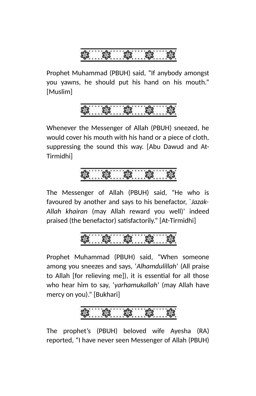Prophet Muhammad (PBUH) said, "If anybody amongst you yawns, he should put his hand on his mouth." [Muslim]



Whenever the Messenger of Allah (PBUH) sneezed, he would cover his mouth with his hand or a piece of cloth, suppressing the sound this way. [Abu Dawud and At-Tirmidhi]

The Messenger of Allah (PBUH) said, "He who is favoured by another and says to his benefactor, `*Jazak-Allah khairan* (may Allah reward you well)' indeed praised (the benefactor) satisfactorily." [At-Tirmidhi]

### ... \$3. ... \$3. ... \$3.

Prophet Muhammad (PBUH) said, "When someone among you sneezes and says, '*Alhamdulillah*' (All praise to Allah [for relieving me]), it is essential for all those who hear him to say, '*yarhamukallah*' (may Allah have mercy on you)." [Bukhari]

The prophet's (PBUH) beloved wife Ayesha (RA) reported, "I have never seen Messenger of Allah (PBUH)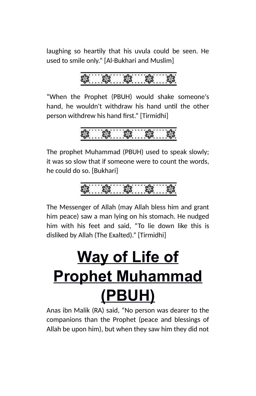laughing so heartily that his uvula could be seen. He used to smile only." [Al-Bukhari and Muslim]

$$
\sqrt[3]{3}
$$

"When the Prophet (PBUH) would shake someone's hand, he wouldn't withdraw his hand until the other person withdrew his hand first." [Tirmidhi]

$$
\frac{1}{100}
$$

The prophet Muhammad (PBUH) used to speak slowly; it was so slow that if someone were to count the words, he could do so. [Bukhari]

$$
\frac{1}{3}
$$

The Messenger of Allah (may Allah bless him and grant him peace) saw a man lying on his stomach. He nudged him with his feet and said, "To lie down like this is disliked by Allah (The Exalted)." [Tirmidhi]

## **Way of Life of Prophet Muhammad (PBUH)**

Anas ibn Malik (RA) said, "No person was dearer to the companions than the Prophet (peace and blessings of Allah be upon him), but when they saw him they did not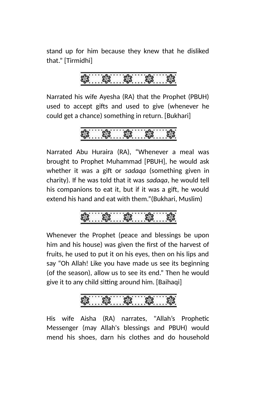stand up for him because they knew that he disliked that." [Tirmidhi]

Narrated his wife Ayesha (RA) that the Prophet (PBUH) used to accept gifts and used to give (whenever he could get a chance) something in return. [Bukhari]

Narrated Abu Huraira (RA), "Whenever a meal was brought to Prophet Muhammad [PBUH], he would ask whether it was a gift or *sadaqa* (something given in charity). If he was told that it was *sadaqa*, he would tell his companions to eat it, but if it was a gift, he would extend his hand and eat with them."(Bukhari, Muslim)

Whenever the Prophet (peace and blessings be upon him and his house) was given the first of the harvest of fruits, he used to put it on his eyes, then on his lips and say "Oh Allah! Like you have made us see its beginning (of the season), allow us to see its end." Then he would give it to any child sitting around him. [Baihaqi]

His wife Aisha (RA) narrates, "Allah's Prophetic Messenger (may Allah's blessings and PBUH) would mend his shoes, darn his clothes and do household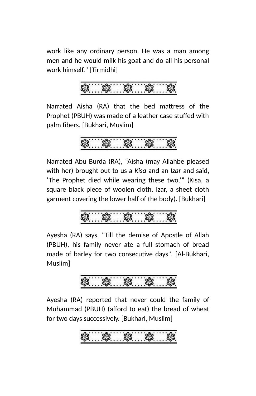work like any ordinary person. He was a man among men and he would milk his goat and do all his personal work himself." [Tirmidhi]

Narrated Aisha (RA) that the bed mattress of the Prophet (PBUH) was made of a leather case stuffed with palm fibers. [Bukhari, Muslim]

Narrated Abu Burda (RA), "Aisha (may Allahbe pleased with her) brought out to us a *Kisa* and an *Izar* and said, 'The Prophet died while wearing these two.'" (Kisa, a square black piece of woolen cloth. Izar, a sheet cloth garment covering the lower half of the body). [Bukhari]

Ayesha (RA) says, "Till the demise of Apostle of Allah (PBUH), his family never ate a full stomach of bread made of barley for two consecutive days". [Al-Bukhari, Muslim]

Ayesha (RA) reported that never could the family of Muhammad (PBUH) (afford to eat) the bread of wheat for two days successively. [Bukhari, Muslim]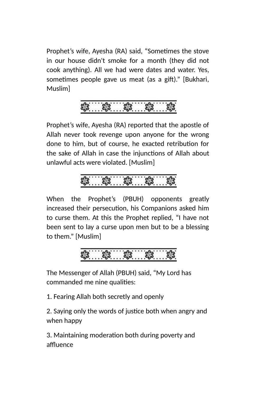Prophet's wife, Ayesha (RA) said, "Sometimes the stove in our house didn't smoke for a month (they did not cook anything). All we had were dates and water. Yes, sometimes people gave us meat (as a gift)." [Bukhari, Muslim]

Prophet's wife, Ayesha (RA) reported that the apostle of Allah never took revenge upon anyone for the wrong done to him, but of course, he exacted retribution for the sake of Allah in case the injunctions of Allah about unlawful acts were violated. [Muslim]

$$
\textcolor{red}{\textbf{3.63}}\textcolor{white}{\textbf{3.65}}\textcolor{white}{\textbf{3.66}}\textcolor{white}{\textbf{3.66}}\textcolor{white}{\textbf{3.66}}\textcolor{white}{\textbf{3.66}}\textcolor{white}{\textbf{3.66}}\textcolor{white}{\textbf{3.66}}\textcolor{white}{\textbf{3.66}}\textcolor{white}{\textbf{3.66}}\textcolor{white}{\textbf{3.66}}\textcolor{white}{\textbf{3.66}}\textcolor{white}{\textbf{3.66}}\textcolor{white}{\textbf{3.66}}\textcolor{white}{\textbf{3.66}}\textcolor{white}{\textbf{3.66}}\textcolor{white}{\textbf{3.66}}\textcolor{white}{\textbf{3.66}}\textcolor{white}{\textbf{3.66}}\textcolor{white}{\textbf{3.66}}\textcolor{white}{\textbf{3.66}}\textcolor{white}{\textbf{3.66}}\textcolor{white}{\textbf{3.66}}\textcolor{white}{\textbf{3.66}}\textcolor{white}{\textbf{3.66}}\textcolor{white}{\textbf{3.66}}\textcolor{white}{\textbf{3.66}}\textcolor{white}{\textbf{3.66}}\textcolor{white}{\textbf{3.66}}\textcolor{white}{\textbf{3.66}}}\textcolor{white}{\textbf{3.66}}\textcolor{white}{\textbf{3.66}}}\textcolor{white}{\textbf{3.66}}\textcolor{white}{\textbf{3.66}}}\textcolor{white}{\textbf{3.66}}}\textcolor{white}{\textbf{3.66}}}\textcolor{white}{\textbf{3.66}}}\textcolor{white}{\textbf{3.66}}}\textcolor{white}{\textbf{3.66}}}\textcolor{white}{\textbf{3.66}}}\textcolor{white}{\textbf{3.66}}}\textcolor{white}{\textbf{3.66}}}\textcolor{white}{\textbf{3.66}}}\textcolor{white}{\textbf{3.66}}}\textcolor{white}{\textbf{3.66}}}\textcolor{white}{\textbf{3.66}}}\textcolor{white}{\textbf{3.66}}}\textcolor{white}{\textbf{3.66}}}\textcolor{white}{\textbf{3.66}}}\textcolor{white}{\textbf{3.66}}}\textcolor{white}{\textbf{
$$

When the Prophet's (PBUH) opponents greatly increased their persecution, his Companions asked him to curse them. At this the Prophet replied, "I have not been sent to lay a curse upon men but to be a blessing to them." [Muslim]

The Messenger of Allah (PBUH) said, "My Lord has commanded me nine qualities:

1. Fearing Allah both secretly and openly

2. Saying only the words of justice both when angry and when happy

3. Maintaining moderation both during poverty and affluence